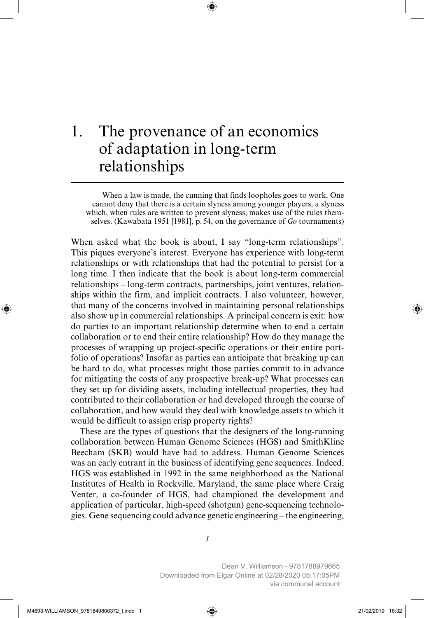# 1. The provenance of an economics of adaptation in long-term relationships

When a law is made, the cunning that finds loopholes goes to work. One cannot deny that there is a certain slyness among younger players, a slyness which, when rules are written to prevent slyness, makes use of the rules themselves. (Kawabata 1951 [1981], p. 54, on the governance of *Go* tournaments)

When asked what the book is about, I say "long-term relationships". This piques everyone's interest. Everyone has experience with long-term relationships or with relationships that had the potential to persist for a long time. I then indicate that the book is about long-term commercial relationships – long-term contracts, partnerships, joint ventures, relationships within the firm, and implicit contracts. I also volunteer, however, that many of the concerns involved in maintaining personal relationships also show up in commercial relationships. A principal concern is exit: how do parties to an important relationship determine when to end a certain collaboration or to end their entire relationship? How do they manage the processes of wrapping up project-specific operations or their entire portfolio of operations? Insofar as parties can anticipate that breaking up can be hard to do, what processes might those parties commit to in advance for mitigating the costs of any prospective break-up? What processes can they set up for dividing assets, including intellectual properties, they had contributed to their collaboration or had developed through the course of collaboration, and how would they deal with knowledge assets to which it would be difficult to assign crisp property rights?

These are the types of questions that the designers of the long-running collaboration between Human Genome Sciences (HGS) and SmithKline Beecham (SKB) would have had to address. Human Genome Sciences was an early entrant in the business of identifying gene sequences. Indeed, HGS was established in 1992 in the same neighborhood as the National Institutes of Health in Rockville, Maryland, the same place where Craig Venter, a co-founder of HGS, had championed the development and application of particular, high-speed (shotgun) gene-sequencing technologies. Gene sequencing could advance genetic engineering – the engineering,

*1*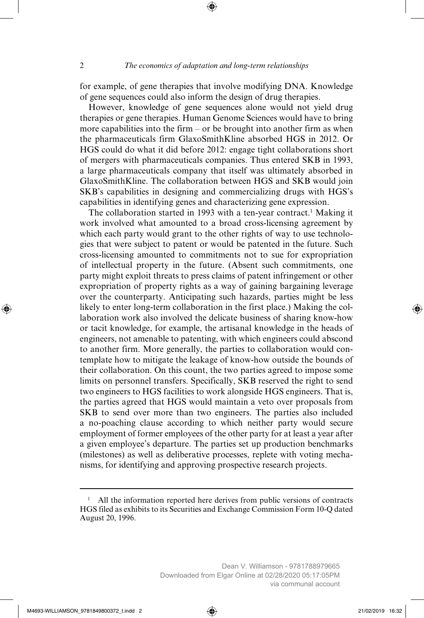for example, of gene therapies that involve modifying DNA. Knowledge of gene sequences could also inform the design of drug therapies.

However, knowledge of gene sequences alone would not yield drug therapies or gene therapies. Human Genome Sciences would have to bring more capabilities into the firm – or be brought into another firm as when the pharmaceuticals firm GlaxoSmithKline absorbed HGS in 2012. Or HGS could do what it did before 2012: engage tight collaborations short of mergers with pharmaceuticals companies. Thus entered SKB in 1993, a large pharmaceuticals company that itself was ultimately absorbed in GlaxoSmithKline. The collaboration between HGS and SKB would join SKB's capabilities in designing and commercializing drugs with HGS's capabilities in identifying genes and characterizing gene expression.

The collaboration started in 1993 with a ten-year contract.<sup>1</sup> Making it work involved what amounted to a broad cross-licensing agreement by which each party would grant to the other rights of way to use technologies that were subject to patent or would be patented in the future. Such cross-licensing amounted to commitments not to sue for expropriation of intellectual property in the future. (Absent such commitments, one party might exploit threats to press claims of patent infringement or other expropriation of property rights as a way of gaining bargaining leverage over the counterparty. Anticipating such hazards, parties might be less likely to enter long-term collaboration in the first place.) Making the collaboration work also involved the delicate business of sharing know-how or tacit knowledge, for example, the artisanal knowledge in the heads of engineers, not amenable to patenting, with which engineers could abscond to another firm. More generally, the parties to collaboration would contemplate how to mitigate the leakage of know-how outside the bounds of their collaboration. On this count, the two parties agreed to impose some limits on personnel transfers. Specifically, SKB reserved the right to send two engineers to HGS facilities to work alongside HGS engineers. That is, the parties agreed that HGS would maintain a veto over proposals from SKB to send over more than two engineers. The parties also included a no-poaching clause according to which neither party would secure employment of former employees of the other party for at least a year after a given employee's departure. The parties set up production benchmarks (milestones) as well as deliberative processes, replete with voting mechanisms, for identifying and approving prospective research projects.

<sup>&</sup>lt;sup>1</sup> All the information reported here derives from public versions of contracts HGS filed as exhibits to its Securities and Exchange Commission Form 10-Q dated August 20, 1996.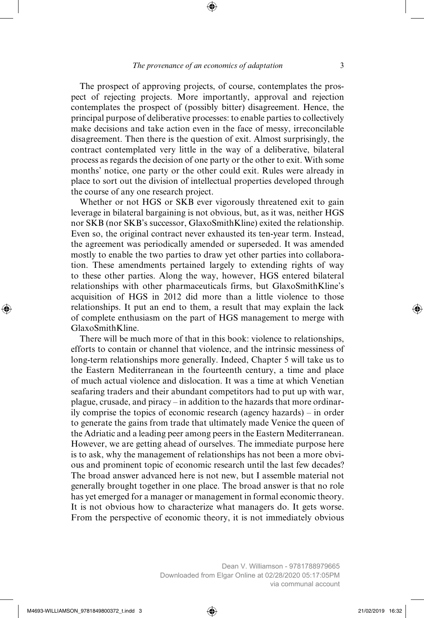The prospect of approving projects, of course, contemplates the prospect of rejecting projects. More importantly, approval and rejection contemplates the prospect of (possibly bitter) disagreement. Hence, the principal purpose of deliberative processes: to enable parties to collectively make decisions and take action even in the face of messy, irreconcilable disagreement. Then there is the question of exit. Almost surprisingly, the contract contemplated very little in the way of a deliberative, bilateral process as regards the decision of one party or the other to exit. With some months' notice, one party or the other could exit. Rules were already in place to sort out the division of intellectual properties developed through the course of any one research project.

Whether or not HGS or SKB ever vigorously threatened exit to gain leverage in bilateral bargaining is not obvious, but, as it was, neither HGS nor SKB (nor SKB's successor, GlaxoSmithKline) exited the relationship. Even so, the original contract never exhausted its ten-year term. Instead, the agreement was periodically amended or superseded. It was amended mostly to enable the two parties to draw yet other parties into collaboration. These amendments pertained largely to extending rights of way to these other parties. Along the way, however, HGS entered bilateral relationships with other pharmaceuticals firms, but GlaxoSmithKline's acquisition of HGS in 2012 did more than a little violence to those relationships. It put an end to them, a result that may explain the lack of complete enthusiasm on the part of HGS management to merge with GlaxoSmithKline.

There will be much more of that in this book: violence to relationships, efforts to contain or channel that violence, and the intrinsic messiness of long-term relationships more generally. Indeed, Chapter 5 will take us to the Eastern Mediterranean in the fourteenth century, a time and place of much actual violence and dislocation. It was a time at which Venetian seafaring traders and their abundant competitors had to put up with war, plague, crusade, and piracy – in addition to the hazards that more ordinarily comprise the topics of economic research (agency hazards) – in order to generate the gains from trade that ultimately made Venice the queen of the Adriatic and a leading peer among peers in the Eastern Mediterranean. However, we are getting ahead of ourselves. The immediate purpose here is to ask, why the management of relationships has not been a more obvious and prominent topic of economic research until the last few decades? The broad answer advanced here is not new, but I assemble material not generally brought together in one place. The broad answer is that no role has yet emerged for a manager or management in formal economic theory. It is not obvious how to characterize what managers do. It gets worse. From the perspective of economic theory, it is not immediately obvious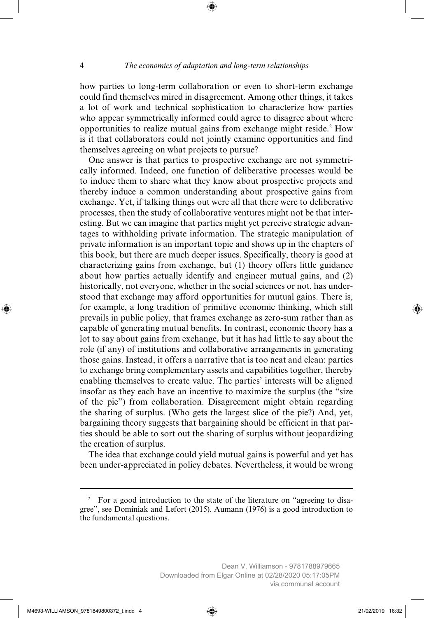how parties to long-term collaboration or even to short-term exchange could find themselves mired in disagreement. Among other things, it takes a lot of work and technical sophistication to characterize how parties who appear symmetrically informed could agree to disagree about where opportunities to realize mutual gains from exchange might reside.2 How is it that collaborators could not jointly examine opportunities and find themselves agreeing on what projects to pursue?

One answer is that parties to prospective exchange are not symmetrically informed. Indeed, one function of deliberative processes would be to induce them to share what they know about prospective projects and thereby induce a common understanding about prospective gains from exchange. Yet, if talking things out were all that there were to deliberative processes, then the study of collaborative ventures might not be that interesting. But we can imagine that parties might yet perceive strategic advantages to withholding private information. The strategic manipulation of private information is an important topic and shows up in the chapters of this book, but there are much deeper issues. Specifically, theory is good at characterizing gains from exchange, but (1) theory offers little guidance about how parties actually identify and engineer mutual gains, and (2) historically, not everyone, whether in the social sciences or not, has understood that exchange may afford opportunities for mutual gains. There is, for example, a long tradition of primitive economic thinking, which still prevails in public policy, that frames exchange as zero-sum rather than as capable of generating mutual benefits. In contrast, economic theory has a lot to say about gains from exchange, but it has had little to say about the role (if any) of institutions and collaborative arrangements in generating those gains. Instead, it offers a narrative that is too neat and clean: parties to exchange bring complementary assets and capabilities together, thereby enabling themselves to create value. The parties' interests will be aligned insofar as they each have an incentive to maximize the surplus (the "size of the pie") from collaboration. Disagreement might obtain regarding the sharing of surplus. (Who gets the largest slice of the pie?) And, yet, bargaining theory suggests that bargaining should be efficient in that parties should be able to sort out the sharing of surplus without jeopardizing the creation of surplus.

The idea that exchange could yield mutual gains is powerful and yet has been under-appreciated in policy debates. Nevertheless, it would be wrong

<sup>&</sup>lt;sup>2</sup> For a good introduction to the state of the literature on "agreeing to disagree", see Dominiak and Lefort (2015). Aumann (1976) is a good introduction to the fundamental questions.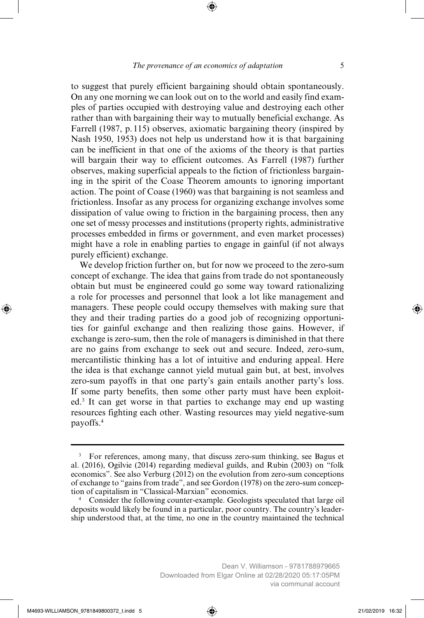to suggest that purely efficient bargaining should obtain spontaneously. On any one morning we can look out on to the world and easily find examples of parties occupied with destroying value and destroying each other rather than with bargaining their way to mutually beneficial exchange. As Farrell (1987, p. 115) observes, axiomatic bargaining theory (inspired by Nash 1950, 1953) does not help us understand how it is that bargaining can be inefficient in that one of the axioms of the theory is that parties will bargain their way to efficient outcomes. As Farrell (1987) further observes, making superficial appeals to the fiction of frictionless bargaining in the spirit of the Coase Theorem amounts to ignoring important action. The point of Coase (1960) was that bargaining is not seamless and frictionless. Insofar as any process for organizing exchange involves some dissipation of value owing to friction in the bargaining process, then any one set of messy processes and institutions (property rights, administrative processes embedded in firms or government, and even market processes) might have a role in enabling parties to engage in gainful (if not always purely efficient) exchange.

We develop friction further on, but for now we proceed to the zero-sum concept of exchange. The idea that gains from trade do not spontaneously obtain but must be engineered could go some way toward rationalizing a role for processes and personnel that look a lot like management and managers. These people could occupy themselves with making sure that they and their trading parties do a good job of recognizing opportunities for gainful exchange and then realizing those gains. However, if exchange is zero-sum, then the role of managers is diminished in that there are no gains from exchange to seek out and secure. Indeed, zero-sum, mercantilistic thinking has a lot of intuitive and enduring appeal. Here the idea is that exchange cannot yield mutual gain but, at best, involves zero-sum payoffs in that one party's gain entails another party's loss. If some party benefits, then some other party must have been exploited.3 It can get worse in that parties to exchange may end up wasting resources fighting each other. Wasting resources may yield negative-sum payoffs.4

<sup>3</sup> For references, among many, that discuss zero-sum thinking, see Bagus et al. (2016), Ogilvie (2014) regarding medieval guilds, and Rubin (2003) on "folk economics". See also Verburg (2012) on the evolution from zero-sum conceptions of exchange to "gains from trade", and see Gordon (1978) on the zero-sum conception of capitalism in "Classical-Marxian" economics.

<sup>&</sup>lt;sup>4</sup> Consider the following counter-example. Geologists speculated that large oil deposits would likely be found in a particular, poor country. The country's leadership understood that, at the time, no one in the country maintained the technical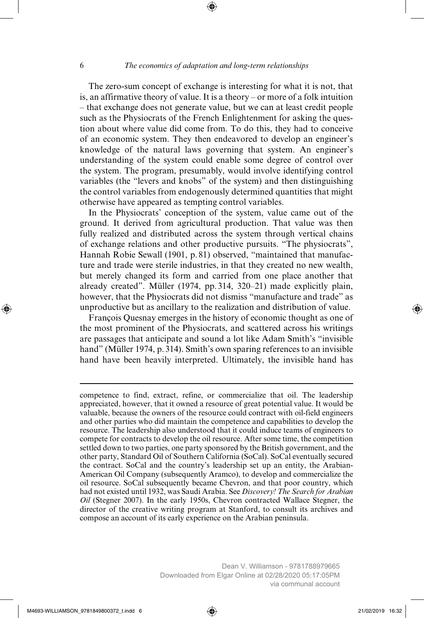The zero-sum concept of exchange is interesting for what it is not, that is, an affirmative theory of value. It is a theory – or more of a folk intuition – that exchange does not generate value, but we can at least credit people such as the Physiocrats of the French Enlightenment for asking the question about where value did come from. To do this, they had to conceive of an economic system. They then endeavored to develop an engineer's knowledge of the natural laws governing that system. An engineer's understanding of the system could enable some degree of control over the system. The program, presumably, would involve identifying control variables (the "levers and knobs" of the system) and then distinguishing the control variables from endogenously determined quantities that might otherwise have appeared as tempting control variables.

In the Physiocrats' conception of the system, value came out of the ground. It derived from agricultural production. That value was then fully realized and distributed across the system through vertical chains of exchange relations and other productive pursuits. "The physiocrats", Hannah Robie Sewall (1901, p. 81) observed, "maintained that manufacture and trade were sterile industries, in that they created no new wealth, but merely changed its form and carried from one place another that already created". Müller (1974, pp. 314, 320–21) made explicitly plain, however, that the Physiocrats did not dismiss "manufacture and trade" as unproductive but as ancillary to the realization and distribution of value.

François Quesnay emerges in the history of economic thought as one of the most prominent of the Physiocrats, and scattered across his writings are passages that anticipate and sound a lot like Adam Smith's "invisible hand" (Müller 1974, p. 314). Smith's own sparing references to an invisible hand have been heavily interpreted. Ultimately, the invisible hand has

competence to find, extract, refine, or commercialize that oil. The leadership appreciated, however, that it owned a resource of great potential value. It would be valuable, because the owners of the resource could contract with oil-field engineers and other parties who did maintain the competence and capabilities to develop the resource. The leadership also understood that it could induce teams of engineers to compete for contracts to develop the oil resource. After some time, the competition settled down to two parties, one party sponsored by the British government, and the other party, Standard Oil of Southern California (SoCal). SoCal eventually secured the contract. SoCal and the country's leadership set up an entity, the Arabian-American Oil Company (subsequently Aramco), to develop and commercialize the oil resource. SoCal subsequently became Chevron, and that poor country, which had not existed until 1932, was Saudi Arabia. See *Discovery! The Search for Arabian Oil* (Stegner 2007). In the early 1950s, Chevron contracted Wallace Stegner, the director of the creative writing program at Stanford, to consult its archives and compose an account of its early experience on the Arabian peninsula.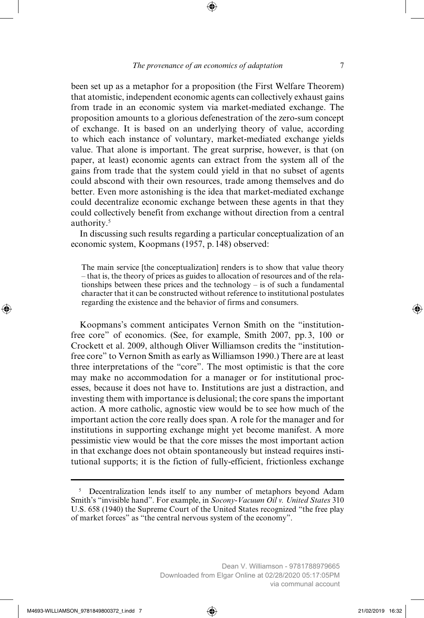been set up as a metaphor for a proposition (the First Welfare Theorem) that atomistic, independent economic agents can collectively exhaust gains from trade in an economic system via market-mediated exchange. The proposition amounts to a glorious defenestration of the zero-sum concept of exchange. It is based on an underlying theory of value, according to which each instance of voluntary, market-mediated exchange yields value. That alone is important. The great surprise, however, is that (on paper, at least) economic agents can extract from the system all of the gains from trade that the system could yield in that no subset of agents could abscond with their own resources, trade among themselves and do better. Even more astonishing is the idea that market-mediated exchange could decentralize economic exchange between these agents in that they could collectively benefit from exchange without direction from a central authority.5

In discussing such results regarding a particular conceptualization of an economic system, Koopmans (1957, p. 148) observed:

The main service [the conceptualization] renders is to show that value theory – that is, the theory of prices as guides to allocation of resources and of the relationships between these prices and the technology – is of such a fundamental character that it can be constructed without reference to institutional postulates regarding the existence and the behavior of firms and consumers.

Koopmans's comment anticipates Vernon Smith on the "institutionfree core" of economics. (See, for example, Smith 2007, pp. 3, 100 or Crockett et al. 2009, although Oliver Williamson credits the "institutionfree core" to Vernon Smith as early as Williamson 1990.) There are at least three interpretations of the "core". The most optimistic is that the core may make no accommodation for a manager or for institutional processes, because it does not have to. Institutions are just a distraction, and investing them with importance is delusional; the core spans the important action. A more catholic, agnostic view would be to see how much of the important action the core really does span. A role for the manager and for institutions in supporting exchange might yet become manifest. A more pessimistic view would be that the core misses the most important action in that exchange does not obtain spontaneously but instead requires institutional supports; it is the fiction of fully-efficient, frictionless exchange

<sup>&</sup>lt;sup>5</sup> Decentralization lends itself to any number of metaphors beyond Adam Smith's "invisible hand". For example, in *Socony-Vacuum Oil v. United States* 310 U.S. 658 (1940) the Supreme Court of the United States recognized "the free play of market forces" as "the central nervous system of the economy".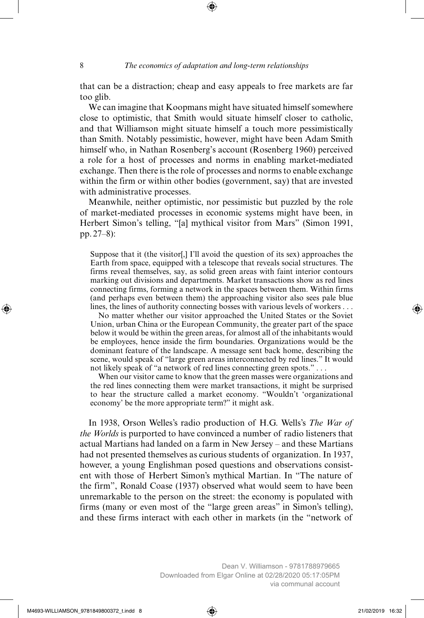that can be a distraction; cheap and easy appeals to free markets are far too glib.

We can imagine that Koopmans might have situated himself somewhere close to optimistic, that Smith would situate himself closer to catholic, and that Williamson might situate himself a touch more pessimistically than Smith. Notably pessimistic, however, might have been Adam Smith himself who, in Nathan Rosenberg's account (Rosenberg 1960) perceived a role for a host of processes and norms in enabling market-mediated exchange. Then there is the role of processes and norms to enable exchange within the firm or within other bodies (government, say) that are invested with administrative processes.

Meanwhile, neither optimistic, nor pessimistic but puzzled by the role of market-mediated processes in economic systems might have been, in Herbert Simon's telling, "[a] mythical visitor from Mars" (Simon 1991, pp. 27–8):

Suppose that it (the visitor[,] I'll avoid the question of its sex) approaches the Earth from space, equipped with a telescope that reveals social structures. The firms reveal themselves, say, as solid green areas with faint interior contours marking out divisions and departments. Market transactions show as red lines connecting firms, forming a network in the spaces between them. Within firms (and perhaps even between them) the approaching visitor also sees pale blue lines, the lines of authority connecting bosses with various levels of workers . . .

 No matter whether our visitor approached the United States or the Soviet Union, urban China or the European Community, the greater part of the space below it would be within the green areas, for almost all of the inhabitants would be employees, hence inside the firm boundaries. Organizations would be the dominant feature of the landscape. A message sent back home, describing the scene, would speak of "large green areas interconnected by red lines." It would not likely speak of "a network of red lines connecting green spots." . . .

 When our visitor came to know that the green masses were organizations and the red lines connecting them were market transactions, it might be surprised to hear the structure called a market economy. "Wouldn't 'organizational economy' be the more appropriate term?" it might ask.

In 1938, Orson Welles's radio production of H.G. Wells's *The War of the Worlds* is purported to have convinced a number of radio listeners that actual Martians had landed on a farm in New Jersey – and these Martians had not presented themselves as curious students of organization. In 1937, however, a young Englishman posed questions and observations consistent with those of Herbert Simon's mythical Martian. In "The nature of the firm", Ronald Coase (1937) observed what would seem to have been unremarkable to the person on the street: the economy is populated with firms (many or even most of the "large green areas" in Simon's telling), and these firms interact with each other in markets (in the "network of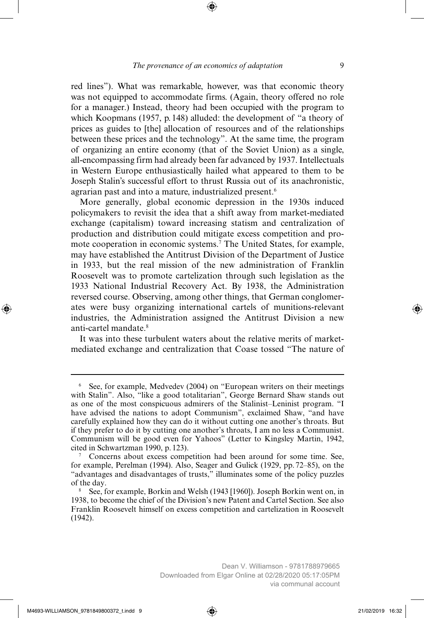red lines"). What was remarkable, however, was that economic theory was not equipped to accommodate firms. (Again, theory offered no role for a manager.) Instead, theory had been occupied with the program to which Koopmans (1957, p. 148) alluded: the development of "a theory of prices as guides to [the] allocation of resources and of the relationships between these prices and the technology". At the same time, the program of organizing an entire economy (that of the Soviet Union) as a single, all-encompassing firm had already been far advanced by 1937. Intellectuals in Western Europe enthusiastically hailed what appeared to them to be Joseph Stalin's successful effort to thrust Russia out of its anachronistic, agrarian past and into a mature, industrialized present.<sup>6</sup>

More generally, global economic depression in the 1930s induced policymakers to revisit the idea that a shift away from market-mediated exchange (capitalism) toward increasing statism and centralization of production and distribution could mitigate excess competition and promote cooperation in economic systems.7 The United States, for example, may have established the Antitrust Division of the Department of Justice in 1933, but the real mission of the new administration of Franklin Roosevelt was to promote cartelization through such legislation as the 1933 National Industrial Recovery Act. By 1938, the Administration reversed course. Observing, among other things, that German conglomerates were busy organizing international cartels of munitions-relevant industries, the Administration assigned the Antitrust Division a new anti-cartel mandate<sup>8</sup>

It was into these turbulent waters about the relative merits of marketmediated exchange and centralization that Coase tossed "The nature of

<sup>6</sup> See, for example, Medvedev (2004) on "European writers on their meetings with Stalin". Also, "like a good totalitarian", George Bernard Shaw stands out as one of the most conspicuous admirers of the Stalinist–Leninist program. "I have advised the nations to adopt Communism", exclaimed Shaw, "and have carefully explained how they can do it without cutting one another's throats. But if they prefer to do it by cutting one another's throats, I am no less a Communist. Communism will be good even for Yahoos" (Letter to Kingsley Martin, 1942, cited in Schwartzman 1990, p. 123).

<sup>7</sup> Concerns about excess competition had been around for some time. See, for example, Perelman (1994). Also, Seager and Gulick (1929, pp. 72–85), on the "advantages and disadvantages of trusts," illuminates some of the policy puzzles of the day.

<sup>8</sup> See, for example, Borkin and Welsh (1943 [1960]). Joseph Borkin went on, in 1938, to become the chief of the Division's new Patent and Cartel Section. See also Franklin Roosevelt himself on excess competition and cartelization in Roosevelt (1942).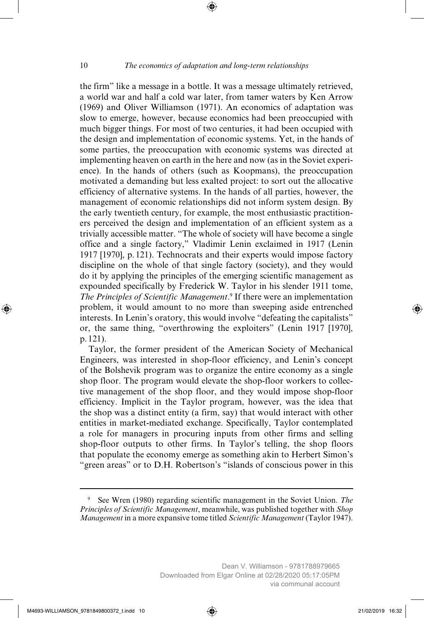the firm" like a message in a bottle. It was a message ultimately retrieved, a world war and half a cold war later, from tamer waters by Ken Arrow (1969) and Oliver Williamson (1971). An economics of adaptation was slow to emerge, however, because economics had been preoccupied with much bigger things. For most of two centuries, it had been occupied with the design and implementation of economic systems. Yet, in the hands of some parties, the preoccupation with economic systems was directed at implementing heaven on earth in the here and now (as in the Soviet experience). In the hands of others (such as Koopmans), the preoccupation motivated a demanding but less exalted project: to sort out the allocative efficiency of alternative systems. In the hands of all parties, however, the management of economic relationships did not inform system design. By the early twentieth century, for example, the most enthusiastic practitioners perceived the design and implementation of an efficient system as a trivially accessible matter. "The whole of society will have become a single office and a single factory," Vladimir Lenin exclaimed in 1917 (Lenin 1917 [1970], p. 121). Technocrats and their experts would impose factory discipline on the whole of that single factory (society), and they would do it by applying the principles of the emerging scientific management as expounded specifically by Frederick W. Taylor in his slender 1911 tome, The Principles of Scientific Management.<sup>9</sup> If there were an implementation problem, it would amount to no more than sweeping aside entrenched interests. In Lenin's oratory, this would involve "defeating the capitalists" or, the same thing, "overthrowing the exploiters" (Lenin 1917 [1970], p. 121).

Taylor, the former president of the American Society of Mechanical Engineers, was interested in shop-floor efficiency, and Lenin's concept of the Bolshevik program was to organize the entire economy as a single shop floor. The program would elevate the shop-floor workers to collective management of the shop floor, and they would impose shop-floor efficiency. Implicit in the Taylor program, however, was the idea that the shop was a distinct entity (a firm, say) that would interact with other entities in market-mediated exchange. Specifically, Taylor contemplated a role for managers in procuring inputs from other firms and selling shop-floor outputs to other firms. In Taylor's telling, the shop floors that populate the economy emerge as something akin to Herbert Simon's "green areas" or to D.H. Robertson's "islands of conscious power in this

<sup>9</sup> See Wren (1980) regarding scientific management in the Soviet Union. *The Principles of Scientific Management*, meanwhile, was published together with *Shop Management* in a more expansive tome titled *Scientific Management* (Taylor 1947).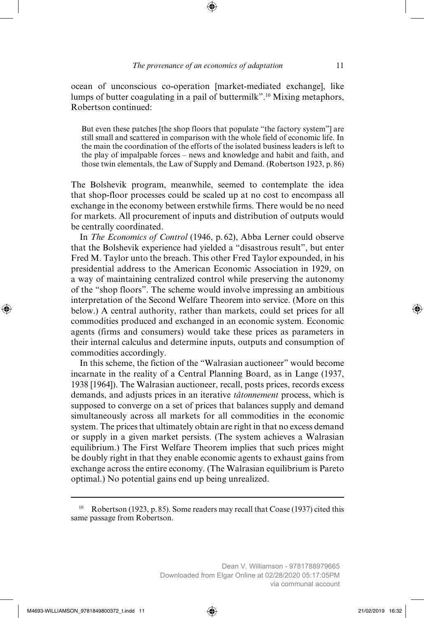ocean of unconscious co-operation [market-mediated exchange], like lumps of butter coagulating in a pail of buttermilk".10 Mixing metaphors, Robertson continued:

But even these patches [the shop floors that populate "the factory system"] are still small and scattered in comparison with the whole field of economic life. In the main the coordination of the efforts of the isolated business leaders is left to the play of impalpable forces – news and knowledge and habit and faith, and those twin elementals, the Law of Supply and Demand. (Robertson 1923, p. 86)

The Bolshevik program, meanwhile, seemed to contemplate the idea that shop-floor processes could be scaled up at no cost to encompass all exchange in the economy between erstwhile firms. There would be no need for markets. All procurement of inputs and distribution of outputs would be centrally coordinated.

In *The Economics of Control* (1946, p. 62), Abba Lerner could observe that the Bolshevik experience had yielded a "disastrous result", but enter Fred M. Taylor unto the breach. This other Fred Taylor expounded, in his presidential address to the American Economic Association in 1929, on a way of maintaining centralized control while preserving the autonomy of the "shop floors". The scheme would involve impressing an ambitious interpretation of the Second Welfare Theorem into service. (More on this below.) A central authority, rather than markets, could set prices for all commodities produced and exchanged in an economic system. Economic agents (firms and consumers) would take these prices as parameters in their internal calculus and determine inputs, outputs and consumption of commodities accordingly.

In this scheme, the fiction of the "Walrasian auctioneer" would become incarnate in the reality of a Central Planning Board, as in Lange (1937, 1938 [1964]). The Walrasian auctioneer, recall, posts prices, records excess demands, and adjusts prices in an iterative *tâtonnement* process, which is supposed to converge on a set of prices that balances supply and demand simultaneously across all markets for all commodities in the economic system. The prices that ultimately obtain are right in that no excess demand or supply in a given market persists. (The system achieves a Walrasian equilibrium.) The First Welfare Theorem implies that such prices might be doubly right in that they enable economic agents to exhaust gains from exchange across the entire economy. (The Walrasian equilibrium is Pareto optimal.) No potential gains end up being unrealized.

<sup>10</sup> Robertson (1923, p. 85). Some readers may recall that Coase (1937) cited this same passage from Robertson.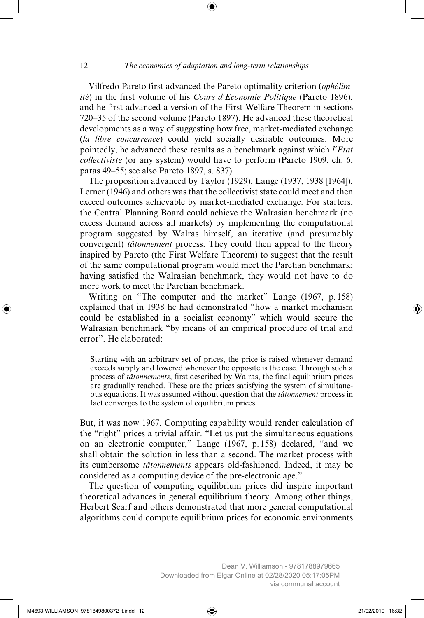Vilfredo Pareto first advanced the Pareto optimality criterion (*ophélimité*) in the first volume of his *Cours d'Economie Politique* (Pareto 1896), and he first advanced a version of the First Welfare Theorem in sections 720–35 of the second volume (Pareto 1897). He advanced these theoretical developments as a way of suggesting how free, market-mediated exchange (*la libre concurrence*) could yield socially desirable outcomes. More pointedly, he advanced these results as a benchmark against which *l'Etat collectiviste* (or any system) would have to perform (Pareto 1909, ch. 6, paras 49–55; see also Pareto 1897, s. 837).

The proposition advanced by Taylor (1929), Lange (1937, 1938 [1964]), Lerner (1946) and others was that the collectivist state could meet and then exceed outcomes achievable by market-mediated exchange. For starters, the Central Planning Board could achieve the Walrasian benchmark (no excess demand across all markets) by implementing the computational program suggested by Walras himself, an iterative (and presumably convergent) *tâtonnement* process. They could then appeal to the theory inspired by Pareto (the First Welfare Theorem) to suggest that the result of the same computational program would meet the Paretian benchmark; having satisfied the Walrasian benchmark, they would not have to do more work to meet the Paretian benchmark.

Writing on "The computer and the market" Lange (1967, p. 158) explained that in 1938 he had demonstrated "how a market mechanism could be established in a socialist economy" which would secure the Walrasian benchmark "by means of an empirical procedure of trial and error". He elaborated:

Starting with an arbitrary set of prices, the price is raised whenever demand exceeds supply and lowered whenever the opposite is the case. Through such a process of *tâtonnements*, first described by Walras, the final equilibrium prices are gradually reached. These are the prices satisfying the system of simultaneous equations. It was assumed without question that the *tâtonnement* process in fact converges to the system of equilibrium prices.

But, it was now 1967. Computing capability would render calculation of the "right" prices a trivial affair. "Let us put the simultaneous equations on an electronic computer," Lange (1967, p. 158) declared, "and we shall obtain the solution in less than a second. The market process with its cumbersome *tâtonnements* appears old-fashioned. Indeed, it may be considered as a computing device of the pre-electronic age."

The question of computing equilibrium prices did inspire important theoretical advances in general equilibrium theory. Among other things, Herbert Scarf and others demonstrated that more general computational algorithms could compute equilibrium prices for economic environments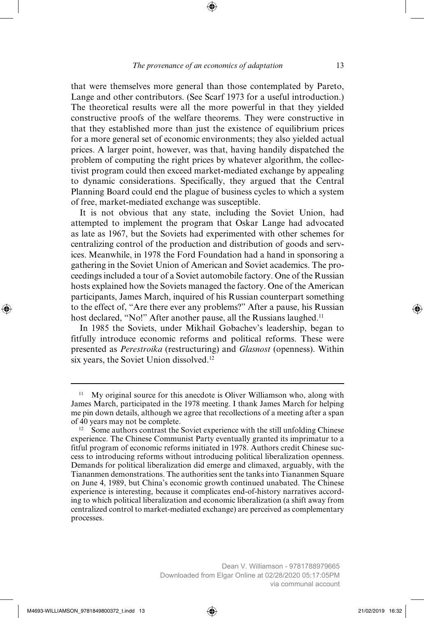that were themselves more general than those contemplated by Pareto, Lange and other contributors. (See Scarf 1973 for a useful introduction.) The theoretical results were all the more powerful in that they yielded constructive proofs of the welfare theorems. They were constructive in that they established more than just the existence of equilibrium prices for a more general set of economic environments; they also yielded actual prices. A larger point, however, was that, having handily dispatched the problem of computing the right prices by whatever algorithm, the collectivist program could then exceed market-mediated exchange by appealing to dynamic considerations. Specifically, they argued that the Central Planning Board could end the plague of business cycles to which a system of free, market-mediated exchange was susceptible.

It is not obvious that any state, including the Soviet Union, had attempted to implement the program that Oskar Lange had advocated as late as 1967, but the Soviets had experimented with other schemes for centralizing control of the production and distribution of goods and services. Meanwhile, in 1978 the Ford Foundation had a hand in sponsoring a gathering in the Soviet Union of American and Soviet academics. The proceedings included a tour of a Soviet automobile factory. One of the Russian hosts explained how the Soviets managed the factory. One of the American participants, James March, inquired of his Russian counterpart something to the effect of, "Are there ever any problems?" After a pause, his Russian host declared, "No!" After another pause, all the Russians laughed.<sup>11</sup>

In 1985 the Soviets, under Mikhail Gobachev's leadership, began to fitfully introduce economic reforms and political reforms. These were presented as *Perestroika* (restructuring) and *Glasnost* (openness). Within six years, the Soviet Union dissolved.12

<sup>11</sup> My original source for this anecdote is Oliver Williamson who, along with James March, participated in the 1978 meeting. I thank James March for helping me pin down details, although we agree that recollections of a meeting after a span of 40 years may not be complete.

<sup>12</sup> Some authors contrast the Soviet experience with the still unfolding Chinese experience. The Chinese Communist Party eventually granted its imprimatur to a fitful program of economic reforms initiated in 1978. Authors credit Chinese success to introducing reforms without introducing political liberalization openness. Demands for political liberalization did emerge and climaxed, arguably, with the Tiananmen demonstrations. The authorities sent the tanks into Tiananmen Square on June 4, 1989, but China's economic growth continued unabated. The Chinese experience is interesting, because it complicates end-of-history narratives according to which political liberalization and economic liberalization (a shift away from centralized control to market-mediated exchange) are perceived as complementary processes.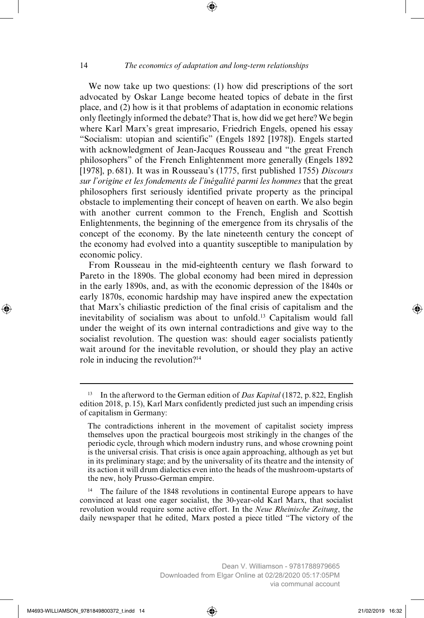We now take up two questions: (1) how did prescriptions of the sort advocated by Oskar Lange become heated topics of debate in the first place, and (2) how is it that problems of adaptation in economic relations only fleetingly informed the debate? That is, how did we get here? We begin where Karl Marx's great impresario, Friedrich Engels, opened his essay "Socialism: utopian and scientific" (Engels 1892 [1978]). Engels started with acknowledgment of Jean-Jacques Rousseau and "the great French philosophers" of the French Enlightenment more generally (Engels 1892 [1978], p. 681). It was in Rousseau's (1775, first published 1755) *Discours sur l'origine et les fondements de l'inégalité parmi les hommes* that the great philosophers first seriously identified private property as the principal obstacle to implementing their concept of heaven on earth. We also begin with another current common to the French, English and Scottish Enlightenments, the beginning of the emergence from its chrysalis of the concept of the economy. By the late nineteenth century the concept of the economy had evolved into a quantity susceptible to manipulation by economic policy.

From Rousseau in the mid-eighteenth century we flash forward to Pareto in the 1890s. The global economy had been mired in depression in the early 1890s, and, as with the economic depression of the 1840s or early 1870s, economic hardship may have inspired anew the expectation that Marx's chiliastic prediction of the final crisis of capitalism and the inevitability of socialism was about to unfold.13 Capitalism would fall under the weight of its own internal contradictions and give way to the socialist revolution. The question was: should eager socialists patiently wait around for the inevitable revolution, or should they play an active role in inducing the revolution?14

The failure of the 1848 revolutions in continental Europe appears to have convinced at least one eager socialist, the 30-year-old Karl Marx, that socialist revolution would require some active effort. In the *Neue Rheinische Zeitung*, the daily newspaper that he edited, Marx posted a piece titled "The victory of the

<sup>13</sup> In the afterword to the German edition of *Das Kapital* (1872, p. 822, English edition 2018, p. 15), Karl Marx confidently predicted just such an impending crisis of capitalism in Germany:

The contradictions inherent in the movement of capitalist society impress themselves upon the practical bourgeois most strikingly in the changes of the periodic cycle, through which modern industry runs, and whose crowning point is the universal crisis. That crisis is once again approaching, although as yet but in its preliminary stage; and by the universality of its theatre and the intensity of its action it will drum dialectics even into the heads of the mushroom-upstarts of the new, holy Prusso-German empire.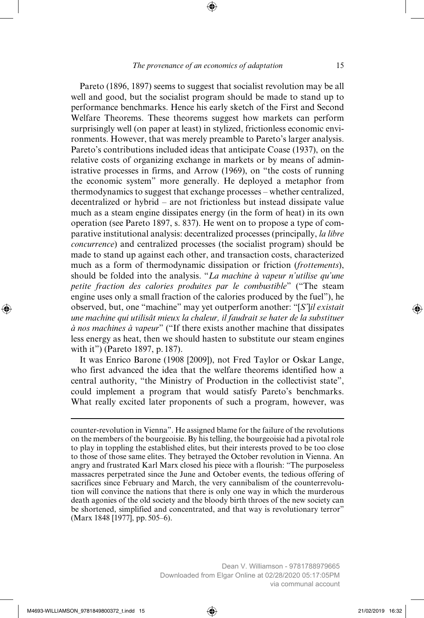Pareto (1896, 1897) seems to suggest that socialist revolution may be all well and good, but the socialist program should be made to stand up to performance benchmarks. Hence his early sketch of the First and Second Welfare Theorems. These theorems suggest how markets can perform surprisingly well (on paper at least) in stylized, frictionless economic environments. However, that was merely preamble to Pareto's larger analysis. Pareto's contributions included ideas that anticipate Coase (1937), on the relative costs of organizing exchange in markets or by means of administrative processes in firms, and Arrow (1969), on "the costs of running the economic system" more generally. He deployed a metaphor from thermodynamics to suggest that exchange processes – whether centralized, decentralized or hybrid – are not frictionless but instead dissipate value much as a steam engine dissipates energy (in the form of heat) in its own operation (see Pareto 1897, s. 837). He went on to propose a type of comparative institutional analysis: decentralized processes (principally, *la libre concurrence*) and centralized processes (the socialist program) should be made to stand up against each other, and transaction costs, characterized much as a form of thermodynamic dissipation or friction (*frottements*), should be folded into the analysis. "*La machine à vapeur n'utilise qu'une petite fraction des calories produites par le combustible*" ("The steam engine uses only a small fraction of the calories produced by the fuel"), he observed, but, one "machine" may yet outperform another: "[*S'*]*il existait une machine qui utilisât mieux la chaleur, il faudrait se hater de la substituer à nos machines à vapeur*" ("If there exists another machine that dissipates less energy as heat, then we should hasten to substitute our steam engines with it") (Pareto 1897, p. 187).

It was Enrico Barone (1908 [2009]), not Fred Taylor or Oskar Lange, who first advanced the idea that the welfare theorems identified how a central authority, "the Ministry of Production in the collectivist state", could implement a program that would satisfy Pareto's benchmarks. What really excited later proponents of such a program, however, was

counter-revolution in Vienna". He assigned blame for the failure of the revolutions on the members of the bourgeoisie. By his telling, the bourgeoisie had a pivotal role to play in toppling the established elites, but their interests proved to be too close to those of those same elites. They betrayed the October revolution in Vienna. An angry and frustrated Karl Marx closed his piece with a flourish: "The purposeless massacres perpetrated since the June and October events, the tedious offering of sacrifices since February and March, the very cannibalism of the counterrevolution will convince the nations that there is only one way in which the murderous death agonies of the old society and the bloody birth throes of the new society can be shortened, simplified and concentrated, and that way is revolutionary terror" (Marx 1848 [1977], pp. 505–6).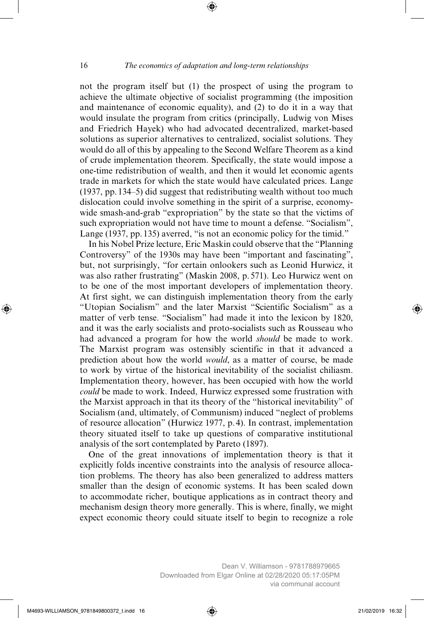not the program itself but (1) the prospect of using the program to achieve the ultimate objective of socialist programming (the imposition and maintenance of economic equality), and (2) to do it in a way that would insulate the program from critics (principally, Ludwig von Mises and Friedrich Hayek) who had advocated decentralized, market-based solutions as superior alternatives to centralized, socialist solutions. They would do all of this by appealing to the Second Welfare Theorem as a kind of crude implementation theorem. Specifically, the state would impose a one-time redistribution of wealth, and then it would let economic agents trade in markets for which the state would have calculated prices. Lange (1937, pp. 134–5) did suggest that redistributing wealth without too much dislocation could involve something in the spirit of a surprise, economywide smash-and-grab "expropriation" by the state so that the victims of such expropriation would not have time to mount a defense. "Socialism", Lange (1937, pp. 135) averred, "is not an economic policy for the timid."

In his Nobel Prize lecture, Eric Maskin could observe that the "Planning Controversy" of the 1930s may have been "important and fascinating", but, not surprisingly, "for certain onlookers such as Leonid Hurwicz, it was also rather frustrating" (Maskin 2008, p. 571). Leo Hurwicz went on to be one of the most important developers of implementation theory. At first sight, we can distinguish implementation theory from the early "Utopian Socialism" and the later Marxist "Scientific Socialism" as a matter of verb tense. "Socialism" had made it into the lexicon by 1820, and it was the early socialists and proto-socialists such as Rousseau who had advanced a program for how the world *should* be made to work. The Marxist program was ostensibly scientific in that it advanced a prediction about how the world *would*, as a matter of course, be made to work by virtue of the historical inevitability of the socialist chiliasm. Implementation theory, however, has been occupied with how the world *could* be made to work. Indeed, Hurwicz expressed some frustration with the Marxist approach in that its theory of the "historical inevitability" of Socialism (and, ultimately, of Communism) induced "neglect of problems of resource allocation" (Hurwicz 1977, p. 4). In contrast, implementation theory situated itself to take up questions of comparative institutional analysis of the sort contemplated by Pareto (1897).

One of the great innovations of implementation theory is that it explicitly folds incentive constraints into the analysis of resource allocation problems. The theory has also been generalized to address matters smaller than the design of economic systems. It has been scaled down to accommodate richer, boutique applications as in contract theory and mechanism design theory more generally. This is where, finally, we might expect economic theory could situate itself to begin to recognize a role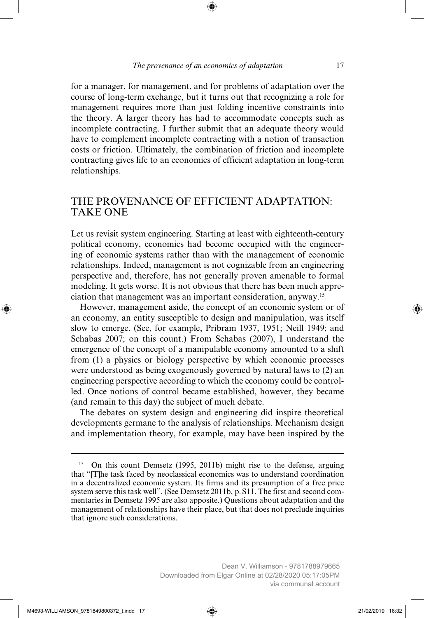for a manager, for management, and for problems of adaptation over the course of long-term exchange, but it turns out that recognizing a role for management requires more than just folding incentive constraints into the theory. A larger theory has had to accommodate concepts such as incomplete contracting. I further submit that an adequate theory would have to complement incomplete contracting with a notion of transaction costs or friction. Ultimately, the combination of friction and incomplete contracting gives life to an economics of efficient adaptation in long-term relationships.

#### THE PROVENANCE OF EFFICIENT ADAPTATION: TAKE ONE

Let us revisit system engineering. Starting at least with eighteenth-century political economy, economics had become occupied with the engineering of economic systems rather than with the management of economic relationships. Indeed, management is not cognizable from an engineering perspective and, therefore, has not generally proven amenable to formal modeling. It gets worse. It is not obvious that there has been much appreciation that management was an important consideration, anyway.15

However, management aside, the concept of an economic system or of an economy, an entity susceptible to design and manipulation, was itself slow to emerge. (See, for example, Pribram 1937, 1951; Neill 1949; and Schabas 2007; on this count.) From Schabas (2007), I understand the emergence of the concept of a manipulable economy amounted to a shift from (1) a physics or biology perspective by which economic processes were understood as being exogenously governed by natural laws to (2) an engineering perspective according to which the economy could be controlled. Once notions of control became established, however, they became (and remain to this day) the subject of much debate.

The debates on system design and engineering did inspire theoretical developments germane to the analysis of relationships. Mechanism design and implementation theory, for example, may have been inspired by the

via communal account

<sup>&</sup>lt;sup>15</sup> On this count Demsetz (1995, 2011b) might rise to the defense, arguing that "[T]he task faced by neoclassical economics was to understand coordination in a decentralized economic system. Its firms and its presumption of a free price system serve this task well". (See Demsetz 2011b, p. S11. The first and second commentaries in Demsetz 1995 are also apposite.) Questions about adaptation and the management of relationships have their place, but that does not preclude inquiries that ignore such considerations.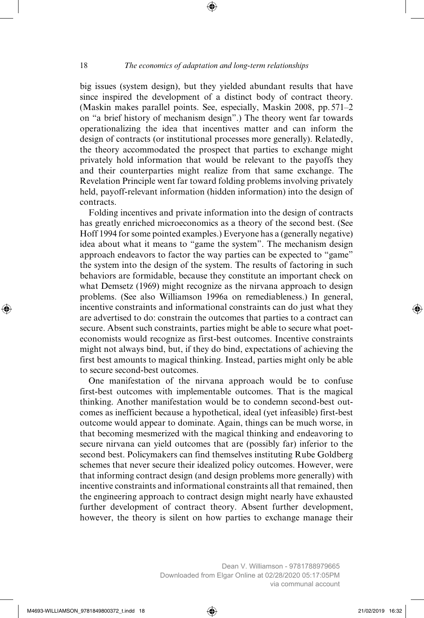big issues (system design), but they yielded abundant results that have since inspired the development of a distinct body of contract theory. (Maskin makes parallel points. See, especially, Maskin 2008, pp. 571–2 on "a brief history of mechanism design".) The theory went far towards operationalizing the idea that incentives matter and can inform the design of contracts (or institutional processes more generally). Relatedly, the theory accommodated the prospect that parties to exchange might privately hold information that would be relevant to the payoffs they and their counterparties might realize from that same exchange. The Revelation Principle went far toward folding problems involving privately held, payoff-relevant information (hidden information) into the design of contracts.

Folding incentives and private information into the design of contracts has greatly enriched microeconomics as a theory of the second best. (See Hoff 1994 for some pointed examples.) Everyone has a (generally negative) idea about what it means to "game the system". The mechanism design approach endeavors to factor the way parties can be expected to "game" the system into the design of the system. The results of factoring in such behaviors are formidable, because they constitute an important check on what Demsetz (1969) might recognize as the nirvana approach to design problems. (See also Williamson 1996a on remediableness.) In general, incentive constraints and informational constraints can do just what they are advertised to do: constrain the outcomes that parties to a contract can secure. Absent such constraints, parties might be able to secure what poeteconomists would recognize as first-best outcomes. Incentive constraints might not always bind, but, if they do bind, expectations of achieving the first best amounts to magical thinking. Instead, parties might only be able to secure second-best outcomes.

One manifestation of the nirvana approach would be to confuse first-best outcomes with implementable outcomes. That is the magical thinking. Another manifestation would be to condemn second-best outcomes as inefficient because a hypothetical, ideal (yet infeasible) first-best outcome would appear to dominate. Again, things can be much worse, in that becoming mesmerized with the magical thinking and endeavoring to secure nirvana can yield outcomes that are (possibly far) inferior to the second best. Policymakers can find themselves instituting Rube Goldberg schemes that never secure their idealized policy outcomes. However, were that informing contract design (and design problems more generally) with incentive constraints and informational constraints all that remained, then the engineering approach to contract design might nearly have exhausted further development of contract theory. Absent further development, however, the theory is silent on how parties to exchange manage their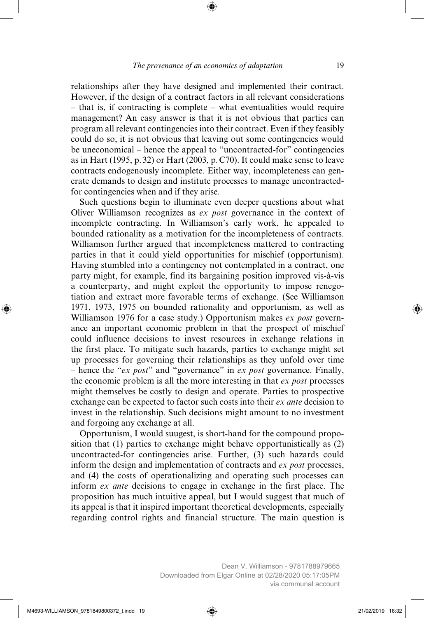relationships after they have designed and implemented their contract. However, if the design of a contract factors in all relevant considerations – that is, if contracting is complete – what eventualities would require management? An easy answer is that it is not obvious that parties can program all relevant contingencies into their contract. Even if they feasibly could do so, it is not obvious that leaving out some contingencies would be uneconomical – hence the appeal to "uncontracted-for" contingencies as in Hart (1995, p. 32) or Hart (2003, p. C70). It could make sense to leave contracts endogenously incomplete. Either way, incompleteness can generate demands to design and institute processes to manage uncontractedfor contingencies when and if they arise.

Such questions begin to illuminate even deeper questions about what Oliver Williamson recognizes as *ex post* governance in the context of incomplete contracting. In Williamson's early work, he appealed to bounded rationality as a motivation for the incompleteness of contracts. Williamson further argued that incompleteness mattered to contracting parties in that it could yield opportunities for mischief (opportunism). Having stumbled into a contingency not contemplated in a contract, one party might, for example, find its bargaining position improved vis-à-vis a counterparty, and might exploit the opportunity to impose renegotiation and extract more favorable terms of exchange. (See Williamson 1971, 1973, 1975 on bounded rationality and opportunism, as well as Williamson 1976 for a case study.) Opportunism makes *ex post* governance an important economic problem in that the prospect of mischief could influence decisions to invest resources in exchange relations in the first place. To mitigate such hazards, parties to exchange might set up processes for governing their relationships as they unfold over time – hence the "*ex post*" and "governance" in *ex post* governance. Finally, the economic problem is all the more interesting in that *ex post* processes might themselves be costly to design and operate. Parties to prospective exchange can be expected to factor such costs into their *ex ante* decision to invest in the relationship. Such decisions might amount to no investment and forgoing any exchange at all.

Opportunism, I would suugest, is short-hand for the compound proposition that (1) parties to exchange might behave opportunistically as (2) uncontracted-for contingencies arise. Further, (3) such hazards could inform the design and implementation of contracts and *ex post* processes, and (4) the costs of operationalizing and operating such processes can inform *ex ante* decisions to engage in exchange in the first place. The proposition has much intuitive appeal, but I would suggest that much of its appeal is that it inspired important theoretical developments, especially regarding control rights and financial structure. The main question is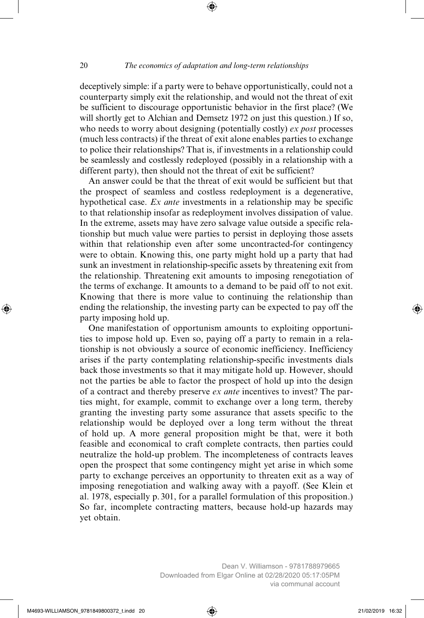deceptively simple: if a party were to behave opportunistically, could not a counterparty simply exit the relationship, and would not the threat of exit be sufficient to discourage opportunistic behavior in the first place? (We will shortly get to Alchian and Demsetz 1972 on just this question.) If so, who needs to worry about designing (potentially costly) *ex post* processes (much less contracts) if the threat of exit alone enables parties to exchange to police their relationships? That is, if investments in a relationship could be seamlessly and costlessly redeployed (possibly in a relationship with a different party), then should not the threat of exit be sufficient?

An answer could be that the threat of exit would be sufficient but that the prospect of seamless and costless redeployment is a degenerative, hypothetical case. *Ex ante* investments in a relationship may be specific to that relationship insofar as redeployment involves dissipation of value. In the extreme, assets may have zero salvage value outside a specific relationship but much value were parties to persist in deploying those assets within that relationship even after some uncontracted-for contingency were to obtain. Knowing this, one party might hold up a party that had sunk an investment in relationship-specific assets by threatening exit from the relationship. Threatening exit amounts to imposing renegotiation of the terms of exchange. It amounts to a demand to be paid off to not exit. Knowing that there is more value to continuing the relationship than ending the relationship, the investing party can be expected to pay off the party imposing hold up.

One manifestation of opportunism amounts to exploiting opportunities to impose hold up. Even so, paying off a party to remain in a relationship is not obviously a source of economic inefficiency. Inefficiency arises if the party contemplating relationship-specific investments dials back those investments so that it may mitigate hold up. However, should not the parties be able to factor the prospect of hold up into the design of a contract and thereby preserve *ex ante* incentives to invest? The parties might, for example, commit to exchange over a long term, thereby granting the investing party some assurance that assets specific to the relationship would be deployed over a long term without the threat of hold up. A more general proposition might be that, were it both feasible and economical to craft complete contracts, then parties could neutralize the hold-up problem. The incompleteness of contracts leaves open the prospect that some contingency might yet arise in which some party to exchange perceives an opportunity to threaten exit as a way of imposing renegotiation and walking away with a payoff. (See Klein et al. 1978, especially p. 301, for a parallel formulation of this proposition.) So far, incomplete contracting matters, because hold-up hazards may yet obtain.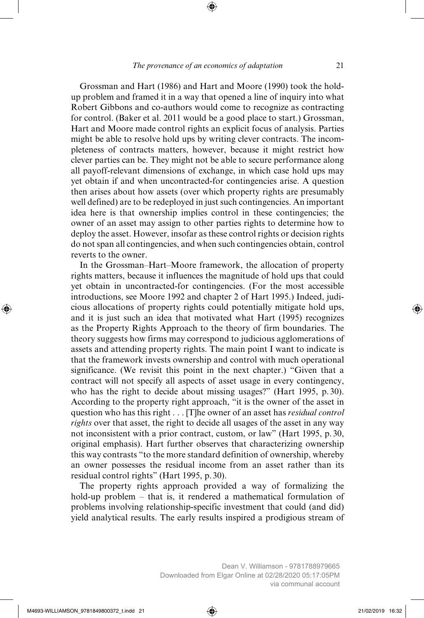Grossman and Hart (1986) and Hart and Moore (1990) took the holdup problem and framed it in a way that opened a line of inquiry into what Robert Gibbons and co-authors would come to recognize as contracting for control. (Baker et al. 2011 would be a good place to start.) Grossman, Hart and Moore made control rights an explicit focus of analysis. Parties might be able to resolve hold ups by writing clever contracts. The incompleteness of contracts matters, however, because it might restrict how clever parties can be. They might not be able to secure performance along all payoff-relevant dimensions of exchange, in which case hold ups may yet obtain if and when uncontracted-for contingencies arise. A question then arises about how assets (over which property rights are presumably well defined) are to be redeployed in just such contingencies. An important idea here is that ownership implies control in these contingencies; the owner of an asset may assign to other parties rights to determine how to deploy the asset. However, insofar as these control rights or decision rights do not span all contingencies, and when such contingencies obtain, control reverts to the owner.

In the Grossman–Hart–Moore framework, the allocation of property rights matters, because it influences the magnitude of hold ups that could yet obtain in uncontracted-for contingencies. (For the most accessible introductions, see Moore 1992 and chapter 2 of Hart 1995.) Indeed, judicious allocations of property rights could potentially mitigate hold ups, and it is just such an idea that motivated what Hart (1995) recognizes as the Property Rights Approach to the theory of firm boundaries. The theory suggests how firms may correspond to judicious agglomerations of assets and attending property rights. The main point I want to indicate is that the framework invests ownership and control with much operational significance. (We revisit this point in the next chapter.) "Given that a contract will not specify all aspects of asset usage in every contingency, who has the right to decide about missing usages?" (Hart 1995, p. 30). According to the property right approach, "it is the owner of the asset in question who has this right . . . [T]he owner of an asset has *residual control rights* over that asset, the right to decide all usages of the asset in any way not inconsistent with a prior contract, custom, or law" (Hart 1995, p. 30, original emphasis). Hart further observes that characterizing ownership this way contrasts "to the more standard definition of ownership, whereby an owner possesses the residual income from an asset rather than its residual control rights" (Hart 1995, p. 30).

The property rights approach provided a way of formalizing the hold-up problem – that is, it rendered a mathematical formulation of problems involving relationship-specific investment that could (and did) yield analytical results. The early results inspired a prodigious stream of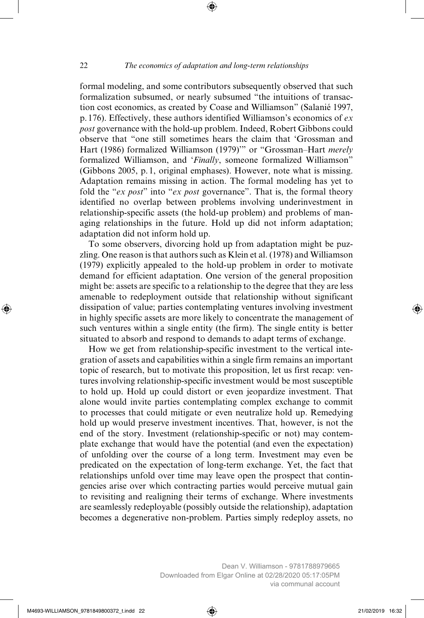formal modeling, and some contributors subsequently observed that such formalization subsumed, or nearly subsumed "the intuitions of transaction cost economics, as created by Coase and Williamson" (Salanié 1997, p. 176). Effectively, these authors identified Williamson's economics of *ex post* governance with the hold-up problem. Indeed, Robert Gibbons could observe that "one still sometimes hears the claim that 'Grossman and Hart (1986) formalized Williamson (1979)'" or "Grossman–Hart *merely* formalized Williamson, and '*Finally*, someone formalized Williamson" (Gibbons 2005, p. 1, original emphases). However, note what is missing. Adaptation remains missing in action. The formal modeling has yet to fold the "*ex post*" into "*ex post* governance". That is, the formal theory identified no overlap between problems involving underinvestment in relationship-specific assets (the hold-up problem) and problems of managing relationships in the future. Hold up did not inform adaptation; adaptation did not inform hold up.

To some observers, divorcing hold up from adaptation might be puzzling. One reason is that authors such as Klein et al. (1978) and Williamson (1979) explicitly appealed to the hold-up problem in order to motivate demand for efficient adaptation. One version of the general proposition might be: assets are specific to a relationship to the degree that they are less amenable to redeployment outside that relationship without significant dissipation of value; parties contemplating ventures involving investment in highly specific assets are more likely to concentrate the management of such ventures within a single entity (the firm). The single entity is better situated to absorb and respond to demands to adapt terms of exchange.

How we get from relationship-specific investment to the vertical integration of assets and capabilities within a single firm remains an important topic of research, but to motivate this proposition, let us first recap: ventures involving relationship-specific investment would be most susceptible to hold up. Hold up could distort or even jeopardize investment. That alone would invite parties contemplating complex exchange to commit to processes that could mitigate or even neutralize hold up. Remedying hold up would preserve investment incentives. That, however, is not the end of the story. Investment (relationship-specific or not) may contemplate exchange that would have the potential (and even the expectation) of unfolding over the course of a long term. Investment may even be predicated on the expectation of long-term exchange. Yet, the fact that relationships unfold over time may leave open the prospect that contingencies arise over which contracting parties would perceive mutual gain to revisiting and realigning their terms of exchange. Where investments are seamlessly redeployable (possibly outside the relationship), adaptation becomes a degenerative non-problem. Parties simply redeploy assets, no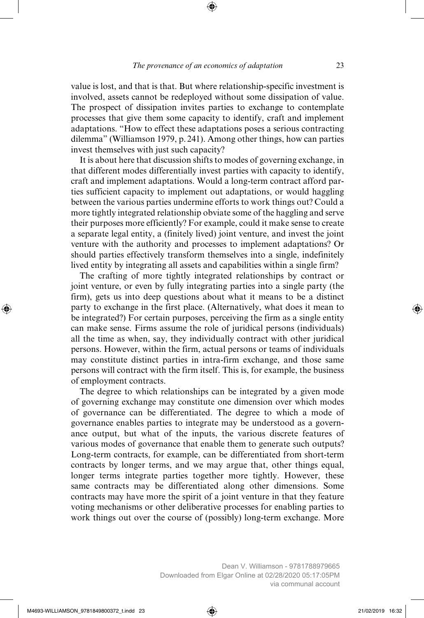value is lost, and that is that. But where relationship-specific investment is involved, assets cannot be redeployed without some dissipation of value. The prospect of dissipation invites parties to exchange to contemplate processes that give them some capacity to identify, craft and implement adaptations. "How to effect these adaptations poses a serious contracting dilemma" (Williamson 1979, p. 241). Among other things, how can parties invest themselves with just such capacity?

It is about here that discussion shifts to modes of governing exchange, in that different modes differentially invest parties with capacity to identify, craft and implement adaptations. Would a long-term contract afford parties sufficient capacity to implement out adaptations, or would haggling between the various parties undermine efforts to work things out? Could a more tightly integrated relationship obviate some of the haggling and serve their purposes more efficiently? For example, could it make sense to create a separate legal entity, a (finitely lived) joint venture, and invest the joint venture with the authority and processes to implement adaptations? Or should parties effectively transform themselves into a single, indefinitely lived entity by integrating all assets and capabilities within a single firm?

The crafting of more tightly integrated relationships by contract or joint venture, or even by fully integrating parties into a single party (the firm), gets us into deep questions about what it means to be a distinct party to exchange in the first place. (Alternatively, what does it mean to be integrated?) For certain purposes, perceiving the firm as a single entity can make sense. Firms assume the role of juridical persons (individuals) all the time as when, say, they individually contract with other juridical persons. However, within the firm, actual persons or teams of individuals may constitute distinct parties in intra-firm exchange, and those same persons will contract with the firm itself. This is, for example, the business of employment contracts.

The degree to which relationships can be integrated by a given mode of governing exchange may constitute one dimension over which modes of governance can be differentiated. The degree to which a mode of governance enables parties to integrate may be understood as a governance output, but what of the inputs, the various discrete features of various modes of governance that enable them to generate such outputs? Long-term contracts, for example, can be differentiated from short-term contracts by longer terms, and we may argue that, other things equal, longer terms integrate parties together more tightly. However, these same contracts may be differentiated along other dimensions. Some contracts may have more the spirit of a joint venture in that they feature voting mechanisms or other deliberative processes for enabling parties to work things out over the course of (possibly) long-term exchange. More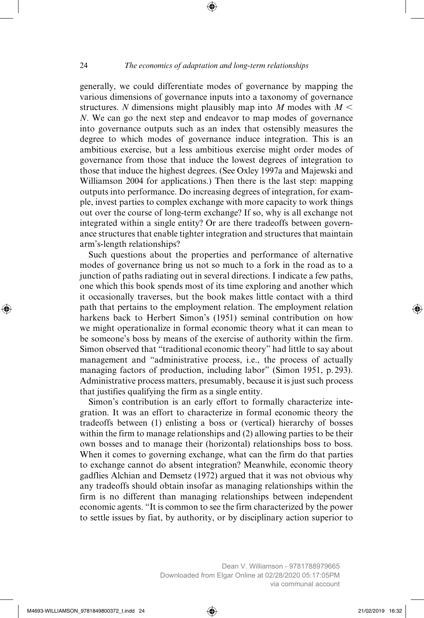generally, we could differentiate modes of governance by mapping the various dimensions of governance inputs into a taxonomy of governance structures. *N* dimensions might plausibly map into *M* modes with  $M <$ *N*. We can go the next step and endeavor to map modes of governance into governance outputs such as an index that ostensibly measures the degree to which modes of governance induce integration. This is an ambitious exercise, but a less ambitious exercise might order modes of governance from those that induce the lowest degrees of integration to those that induce the highest degrees. (See Oxley 1997a and Majewski and Williamson 2004 for applications.) Then there is the last step: mapping outputs into performance. Do increasing degrees of integration, for example, invest parties to complex exchange with more capacity to work things out over the course of long-term exchange? If so, why is all exchange not integrated within a single entity? Or are there tradeoffs between governance structures that enable tighter integration and structures that maintain arm's-length relationships?

Such questions about the properties and performance of alternative modes of governance bring us not so much to a fork in the road as to a junction of paths radiating out in several directions. I indicate a few paths, one which this book spends most of its time exploring and another which it occasionally traverses, but the book makes little contact with a third path that pertains to the employment relation. The employment relation harkens back to Herbert Simon's (1951) seminal contribution on how we might operationalize in formal economic theory what it can mean to be someone's boss by means of the exercise of authority within the firm. Simon observed that "traditional economic theory" had little to say about management and "administrative process, i.e., the process of actually managing factors of production, including labor" (Simon 1951, p. 293). Administrative process matters, presumably, because it is just such process that justifies qualifying the firm as a single entity.

Simon's contribution is an early effort to formally characterize integration. It was an effort to characterize in formal economic theory the tradeoffs between (1) enlisting a boss or (vertical) hierarchy of bosses within the firm to manage relationships and (2) allowing parties to be their own bosses and to manage their (horizontal) relationships boss to boss. When it comes to governing exchange, what can the firm do that parties to exchange cannot do absent integration? Meanwhile, economic theory gadflies Alchian and Demsetz (1972) argued that it was not obvious why any tradeoffs should obtain insofar as managing relationships within the firm is no different than managing relationships between independent economic agents. "It is common to see the firm characterized by the power to settle issues by fiat, by authority, or by disciplinary action superior to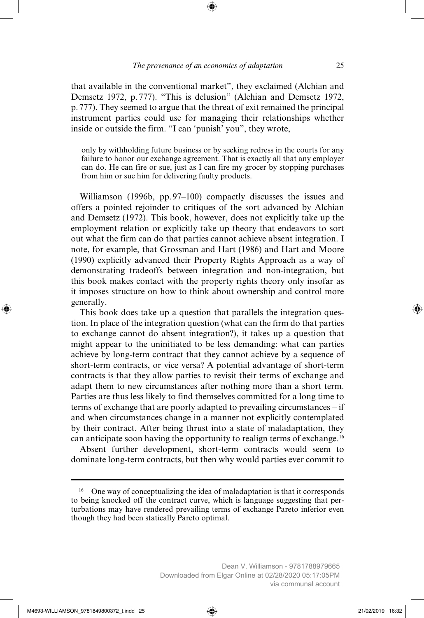that available in the conventional market", they exclaimed (Alchian and Demsetz 1972, p. 777). "This is delusion" (Alchian and Demsetz 1972, p. 777). They seemed to argue that the threat of exit remained the principal instrument parties could use for managing their relationships whether inside or outside the firm. "I can 'punish' you", they wrote,

only by withholding future business or by seeking redress in the courts for any failure to honor our exchange agreement. That is exactly all that any employer can do. He can fire or sue, just as I can fire my grocer by stopping purchases from him or sue him for delivering faulty products.

Williamson (1996b, pp. 97–100) compactly discusses the issues and offers a pointed rejoinder to critiques of the sort advanced by Alchian and Demsetz (1972). This book, however, does not explicitly take up the employment relation or explicitly take up theory that endeavors to sort out what the firm can do that parties cannot achieve absent integration. I note, for example, that Grossman and Hart (1986) and Hart and Moore (1990) explicitly advanced their Property Rights Approach as a way of demonstrating tradeoffs between integration and non-integration, but this book makes contact with the property rights theory only insofar as it imposes structure on how to think about ownership and control more generally.

This book does take up a question that parallels the integration question. In place of the integration question (what can the firm do that parties to exchange cannot do absent integration?), it takes up a question that might appear to the uninitiated to be less demanding: what can parties achieve by long-term contract that they cannot achieve by a sequence of short-term contracts, or vice versa? A potential advantage of short-term contracts is that they allow parties to revisit their terms of exchange and adapt them to new circumstances after nothing more than a short term. Parties are thus less likely to find themselves committed for a long time to terms of exchange that are poorly adapted to prevailing circumstances – if and when circumstances change in a manner not explicitly contemplated by their contract. After being thrust into a state of maladaptation, they can anticipate soon having the opportunity to realign terms of exchange.16

Absent further development, short-term contracts would seem to dominate long-term contracts, but then why would parties ever commit to

<sup>&</sup>lt;sup>16</sup> One way of conceptualizing the idea of maladaptation is that it corresponds to being knocked off the contract curve, which is language suggesting that perturbations may have rendered prevailing terms of exchange Pareto inferior even though they had been statically Pareto optimal.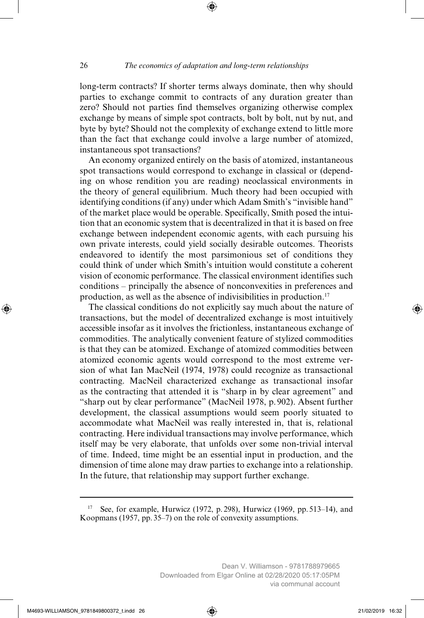long-term contracts? If shorter terms always dominate, then why should parties to exchange commit to contracts of any duration greater than zero? Should not parties find themselves organizing otherwise complex exchange by means of simple spot contracts, bolt by bolt, nut by nut, and byte by byte? Should not the complexity of exchange extend to little more than the fact that exchange could involve a large number of atomized, instantaneous spot transactions?

An economy organized entirely on the basis of atomized, instantaneous spot transactions would correspond to exchange in classical or (depending on whose rendition you are reading) neoclassical environments in the theory of general equilibrium. Much theory had been occupied with identifying conditions (if any) under which Adam Smith's "invisible hand" of the market place would be operable. Specifically, Smith posed the intuition that an economic system that is decentralized in that it is based on free exchange between independent economic agents, with each pursuing his own private interests, could yield socially desirable outcomes. Theorists endeavored to identify the most parsimonious set of conditions they could think of under which Smith's intuition would constitute a coherent vision of economic performance. The classical environment identifies such conditions – principally the absence of nonconvexities in preferences and production, as well as the absence of indivisibilities in production.17

The classical conditions do not explicitly say much about the nature of transactions, but the model of decentralized exchange is most intuitively accessible insofar as it involves the frictionless, instantaneous exchange of commodities. The analytically convenient feature of stylized commodities is that they can be atomized. Exchange of atomized commodities between atomized economic agents would correspond to the most extreme version of what Ian MacNeil (1974, 1978) could recognize as transactional contracting. MacNeil characterized exchange as transactional insofar as the contracting that attended it is "sharp in by clear agreement" and "sharp out by clear performance" (MacNeil 1978, p. 902). Absent further development, the classical assumptions would seem poorly situated to accommodate what MacNeil was really interested in, that is, relational contracting. Here individual transactions may involve performance, which itself may be very elaborate, that unfolds over some non-trivial interval of time. Indeed, time might be an essential input in production, and the dimension of time alone may draw parties to exchange into a relationship. In the future, that relationship may support further exchange.

<sup>&</sup>lt;sup>17</sup> See, for example, Hurwicz (1972, p. 298), Hurwicz (1969, pp. 513–14), and Koopmans (1957, pp. 35–7) on the role of convexity assumptions.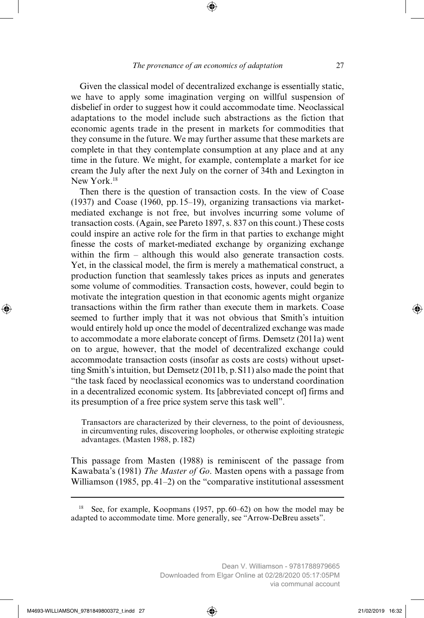Given the classical model of decentralized exchange is essentially static, we have to apply some imagination verging on willful suspension of disbelief in order to suggest how it could accommodate time. Neoclassical adaptations to the model include such abstractions as the fiction that economic agents trade in the present in markets for commodities that they consume in the future. We may further assume that these markets are complete in that they contemplate consumption at any place and at any time in the future. We might, for example, contemplate a market for ice cream the July after the next July on the corner of 34th and Lexington in New York<sup>18</sup>

Then there is the question of transaction costs. In the view of Coase (1937) and Coase (1960, pp. 15–19), organizing transactions via marketmediated exchange is not free, but involves incurring some volume of transaction costs. (Again, see Pareto 1897, s. 837 on this count.) These costs could inspire an active role for the firm in that parties to exchange might finesse the costs of market-mediated exchange by organizing exchange within the firm – although this would also generate transaction costs. Yet, in the classical model, the firm is merely a mathematical construct, a production function that seamlessly takes prices as inputs and generates some volume of commodities. Transaction costs, however, could begin to motivate the integration question in that economic agents might organize transactions within the firm rather than execute them in markets. Coase seemed to further imply that it was not obvious that Smith's intuition would entirely hold up once the model of decentralized exchange was made to accommodate a more elaborate concept of firms. Demsetz (2011a) went on to argue, however, that the model of decentralized exchange could accommodate transaction costs (insofar as costs are costs) without upsetting Smith's intuition, but Demsetz (2011b, p. S11) also made the point that "the task faced by neoclassical economics was to understand coordination in a decentralized economic system. Its [abbreviated concept of] firms and its presumption of a free price system serve this task well".

Transactors are characterized by their cleverness, to the point of deviousness, in circumventing rules, discovering loopholes, or otherwise exploiting strategic advantages. (Masten 1988, p. 182)

This passage from Masten (1988) is reminiscent of the passage from Kawabata's (1981) *The Master of Go*. Masten opens with a passage from Williamson (1985, pp. 41–2) on the "comparative institutional assessment

<sup>&</sup>lt;sup>18</sup> See, for example, Koopmans (1957, pp.  $60-62$ ) on how the model may be adapted to accommodate time. More generally, see "Arrow-DeBreu assets".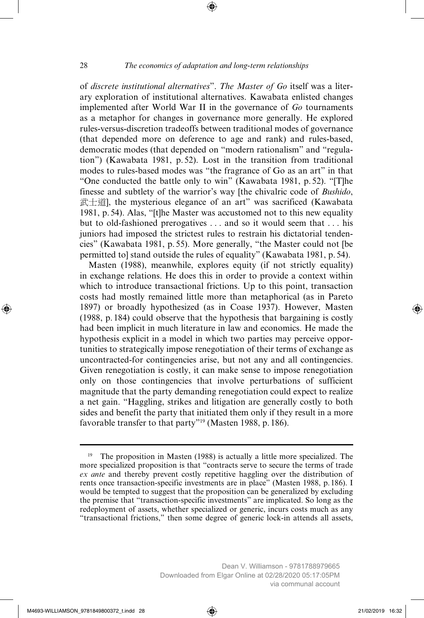of *discrete institutional alternatives*". *The Master of Go* itself was a literary exploration of institutional alternatives. Kawabata enlisted changes implemented after World War II in the governance of *Go* tournaments as a metaphor for changes in governance more generally. He explored rules-versus-discretion tradeoffs between traditional modes of governance (that depended more on deference to age and rank) and rules-based, democratic modes (that depended on "modern rationalism" and "regulation") (Kawabata 1981, p. 52). Lost in the transition from traditional modes to rules-based modes was "the fragrance of Go as an art" in that "One conducted the battle only to win" (Kawabata 1981, p. 52). "[T]he finesse and subtlety of the warrior's way [the chivalric code of *Bushido*, 武士道], the mysterious elegance of an art" was sacrificed (Kawabata 1981, p. 54). Alas, "[t]he Master was accustomed not to this new equality but to old-fashioned prerogatives . . . and so it would seem that . . . his juniors had imposed the strictest rules to restrain his dictatorial tendencies" (Kawabata 1981, p. 55). More generally, "the Master could not [be permitted to] stand outside the rules of equality" (Kawabata 1981, p. 54).

Masten (1988), meanwhile, explores equity (if not strictly equality) in exchange relations. He does this in order to provide a context within which to introduce transactional frictions. Up to this point, transaction costs had mostly remained little more than metaphorical (as in Pareto 1897) or broadly hypothesized (as in Coase 1937). However, Masten (1988, p. 184) could observe that the hypothesis that bargaining is costly had been implicit in much literature in law and economics. He made the hypothesis explicit in a model in which two parties may perceive opportunities to strategically impose renegotiation of their terms of exchange as uncontracted-for contingencies arise, but not any and all contingencies. Given renegotiation is costly, it can make sense to impose renegotiation only on those contingencies that involve perturbations of sufficient magnitude that the party demanding renegotiation could expect to realize a net gain. "Haggling, strikes and litigation are generally costly to both sides and benefit the party that initiated them only if they result in a more favorable transfer to that party"<sup>19</sup> (Masten 1988, p. 186).

<sup>&</sup>lt;sup>19</sup> The proposition in Masten (1988) is actually a little more specialized. The more specialized proposition is that "contracts serve to secure the terms of trade *ex ante* and thereby prevent costly repetitive haggling over the distribution of rents once transaction-specific investments are in place" (Masten 1988, p. 186). I would be tempted to suggest that the proposition can be generalized by excluding the premise that "transaction-specific investments" are implicated. So long as the redeployment of assets, whether specialized or generic, incurs costs much as any "transactional frictions," then some degree of generic lock-in attends all assets,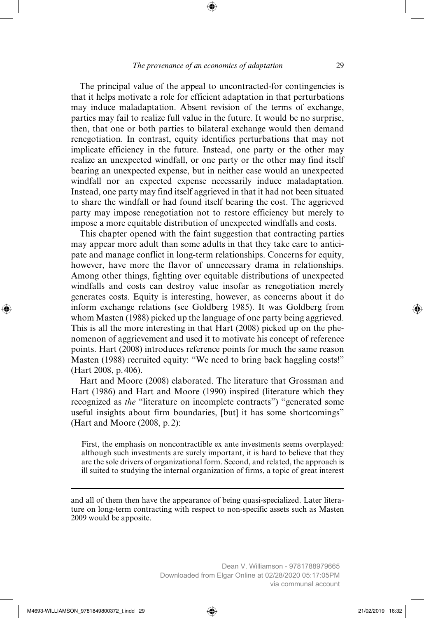The principal value of the appeal to uncontracted-for contingencies is that it helps motivate a role for efficient adaptation in that perturbations may induce maladaptation. Absent revision of the terms of exchange, parties may fail to realize full value in the future. It would be no surprise, then, that one or both parties to bilateral exchange would then demand renegotiation. In contrast, equity identifies perturbations that may not implicate efficiency in the future. Instead, one party or the other may realize an unexpected windfall, or one party or the other may find itself bearing an unexpected expense, but in neither case would an unexpected windfall nor an expected expense necessarily induce maladaptation. Instead, one party may find itself aggrieved in that it had not been situated to share the windfall or had found itself bearing the cost. The aggrieved party may impose renegotiation not to restore efficiency but merely to impose a more equitable distribution of unexpected windfalls and costs.

This chapter opened with the faint suggestion that contracting parties may appear more adult than some adults in that they take care to anticipate and manage conflict in long-term relationships. Concerns for equity, however, have more the flavor of unnecessary drama in relationships. Among other things, fighting over equitable distributions of unexpected windfalls and costs can destroy value insofar as renegotiation merely generates costs. Equity is interesting, however, as concerns about it do inform exchange relations (see Goldberg 1985). It was Goldberg from whom Masten (1988) picked up the language of one party being aggrieved. This is all the more interesting in that Hart (2008) picked up on the phenomenon of aggrievement and used it to motivate his concept of reference points. Hart (2008) introduces reference points for much the same reason Masten (1988) recruited equity: "We need to bring back haggling costs!" (Hart 2008, p. 406).

Hart and Moore (2008) elaborated. The literature that Grossman and Hart (1986) and Hart and Moore (1990) inspired (literature which they recognized as *the* "literature on incomplete contracts") "generated some useful insights about firm boundaries, [but] it has some shortcomings" (Hart and Moore (2008, p. 2):

First, the emphasis on noncontractible ex ante investments seems overplayed: although such investments are surely important, it is hard to believe that they are the sole drivers of organizational form. Second, and related, the approach is ill suited to studying the internal organization of firms, a topic of great interest

and all of them then have the appearance of being quasi-specialized. Later literature on long-term contracting with respect to non-specific assets such as Masten 2009 would be apposite.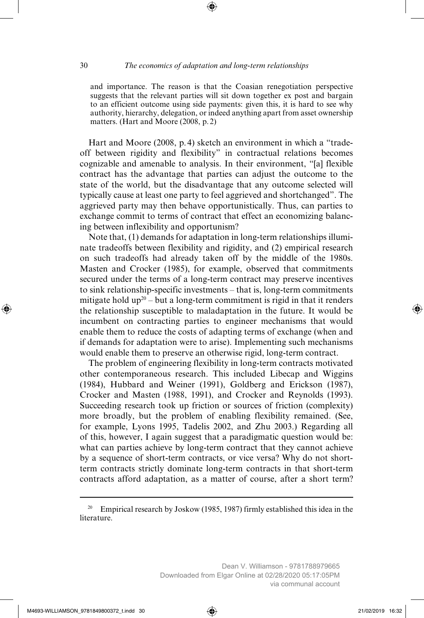and importance. The reason is that the Coasian renegotiation perspective suggests that the relevant parties will sit down together ex post and bargain to an efficient outcome using side payments: given this, it is hard to see why authority, hierarchy, delegation, or indeed anything apart from asset ownership matters. (Hart and Moore (2008, p. 2)

Hart and Moore (2008, p. 4) sketch an environment in which a "tradeoff between rigidity and flexibility" in contractual relations becomes cognizable and amenable to analysis. In their environment, "[a] flexible contract has the advantage that parties can adjust the outcome to the state of the world, but the disadvantage that any outcome selected will typically cause at least one party to feel aggrieved and shortchanged". The aggrieved party may then behave opportunistically. Thus, can parties to exchange commit to terms of contract that effect an economizing balancing between inflexibility and opportunism?

Note that, (1) demands for adaptation in long-term relationships illuminate tradeoffs between flexibility and rigidity, and (2) empirical research on such tradeoffs had already taken off by the middle of the 1980s. Masten and Crocker (1985), for example, observed that commitments secured under the terms of a long-term contract may preserve incentives to sink relationship-specific investments – that is, long-term commitments mitigate hold  $up^{20}$  – but a long-term commitment is rigid in that it renders the relationship susceptible to maladaptation in the future. It would be incumbent on contracting parties to engineer mechanisms that would enable them to reduce the costs of adapting terms of exchange (when and if demands for adaptation were to arise). Implementing such mechanisms would enable them to preserve an otherwise rigid, long-term contract.

The problem of engineering flexibility in long-term contracts motivated other contemporaneous research. This included Libecap and Wiggins (1984), Hubbard and Weiner (1991), Goldberg and Erickson (1987), Crocker and Masten (1988, 1991), and Crocker and Reynolds (1993). Succeeding research took up friction or sources of friction (complexity) more broadly, but the problem of enabling flexibility remained. (See, for example, Lyons 1995, Tadelis 2002, and Zhu 2003.) Regarding all of this, however, I again suggest that a paradigmatic question would be: what can parties achieve by long-term contract that they cannot achieve by a sequence of short-term contracts, or vice versa? Why do not shortterm contracts strictly dominate long-term contracts in that short-term contracts afford adaptation, as a matter of course, after a short term?

<sup>&</sup>lt;sup>20</sup> Empirical research by Joskow (1985, 1987) firmly established this idea in the literature.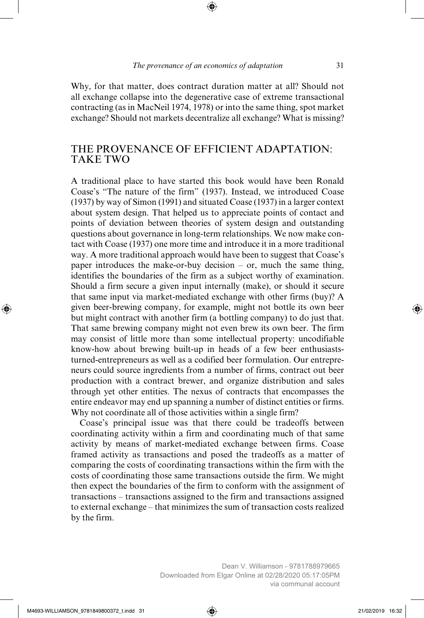Why, for that matter, does contract duration matter at all? Should not all exchange collapse into the degenerative case of extreme transactional contracting (as in MacNeil 1974, 1978) or into the same thing, spot market exchange? Should not markets decentralize all exchange? What is missing?

### THE PROVENANCE OF EFFICIENT ADAPTATION: TAKE TWO

A traditional place to have started this book would have been Ronald Coase's "The nature of the firm" (1937). Instead, we introduced Coase (1937) by way of Simon (1991) and situated Coase (1937) in a larger context about system design. That helped us to appreciate points of contact and points of deviation between theories of system design and outstanding questions about governance in long-term relationships. We now make contact with Coase (1937) one more time and introduce it in a more traditional way. A more traditional approach would have been to suggest that Coase's paper introduces the make-or-buy decision – or, much the same thing, identifies the boundaries of the firm as a subject worthy of examination. Should a firm secure a given input internally (make), or should it secure that same input via market-mediated exchange with other firms (buy)? A given beer-brewing company, for example, might not bottle its own beer but might contract with another firm (a bottling company) to do just that. That same brewing company might not even brew its own beer. The firm may consist of little more than some intellectual property: uncodifiable know-how about brewing built-up in heads of a few beer enthusiaststurned-entrepreneurs as well as a codified beer formulation. Our entrepreneurs could source ingredients from a number of firms, contract out beer production with a contract brewer, and organize distribution and sales through yet other entities. The nexus of contracts that encompasses the entire endeavor may end up spanning a number of distinct entities or firms. Why not coordinate all of those activities within a single firm?

Coase's principal issue was that there could be tradeoffs between coordinating activity within a firm and coordinating much of that same activity by means of market-mediated exchange between firms. Coase framed activity as transactions and posed the tradeoffs as a matter of comparing the costs of coordinating transactions within the firm with the costs of coordinating those same transactions outside the firm. We might then expect the boundaries of the firm to conform with the assignment of transactions – transactions assigned to the firm and transactions assigned to external exchange – that minimizes the sum of transaction costs realized by the firm.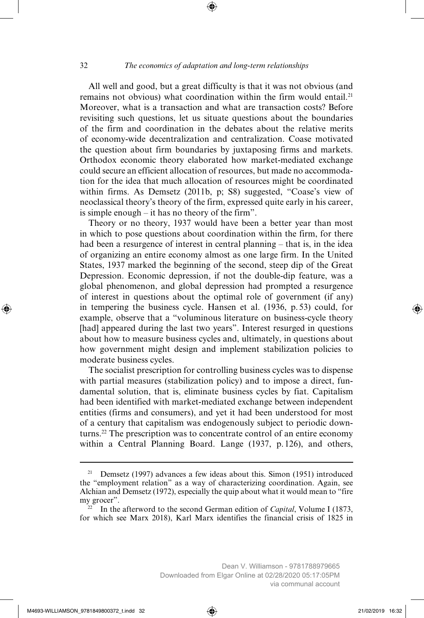All well and good, but a great difficulty is that it was not obvious (and remains not obvious) what coordination within the firm would entail.<sup>21</sup> Moreover, what is a transaction and what are transaction costs? Before revisiting such questions, let us situate questions about the boundaries of the firm and coordination in the debates about the relative merits of economy-wide decentralization and centralization. Coase motivated the question about firm boundaries by juxtaposing firms and markets. Orthodox economic theory elaborated how market-mediated exchange could secure an efficient allocation of resources, but made no accommodation for the idea that much allocation of resources might be coordinated within firms. As Demsetz (2011b, p; S8) suggested, "Coase's view of neoclassical theory's theory of the firm, expressed quite early in his career, is simple enough – it has no theory of the firm".

Theory or no theory, 1937 would have been a better year than most in which to pose questions about coordination within the firm, for there had been a resurgence of interest in central planning – that is, in the idea of organizing an entire economy almost as one large firm. In the United States, 1937 marked the beginning of the second, steep dip of the Great Depression. Economic depression, if not the double-dip feature, was a global phenomenon, and global depression had prompted a resurgence of interest in questions about the optimal role of government (if any) in tempering the business cycle. Hansen et al. (1936, p. 53) could, for example, observe that a "voluminous literature on business-cycle theory [had] appeared during the last two years". Interest resurged in questions about how to measure business cycles and, ultimately, in questions about how government might design and implement stabilization policies to moderate business cycles.

The socialist prescription for controlling business cycles was to dispense with partial measures (stabilization policy) and to impose a direct, fundamental solution, that is, eliminate business cycles by fiat. Capitalism had been identified with market-mediated exchange between independent entities (firms and consumers), and yet it had been understood for most of a century that capitalism was endogenously subject to periodic downturns.22 The prescription was to concentrate control of an entire economy within a Central Planning Board. Lange (1937, p. 126), and others,

<sup>&</sup>lt;sup>21</sup> Demsetz (1997) advances a few ideas about this. Simon (1951) introduced the "employment relation" as a way of characterizing coordination. Again, see Alchian and Demsetz (1972), especially the quip about what it would mean to "fire my grocer".

 $^{22}$  In the afterword to the second German edition of *Capital*, Volume I (1873, for which see Marx 2018), Karl Marx identifies the financial crisis of 1825 in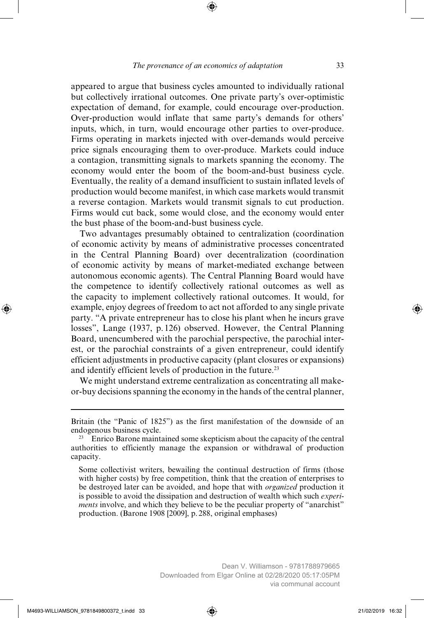appeared to argue that business cycles amounted to individually rational but collectively irrational outcomes. One private party's over-optimistic expectation of demand, for example, could encourage over-production. Over-production would inflate that same party's demands for others' inputs, which, in turn, would encourage other parties to over-produce. Firms operating in markets injected with over-demands would perceive price signals encouraging them to over-produce. Markets could induce a contagion, transmitting signals to markets spanning the economy. The economy would enter the boom of the boom-and-bust business cycle. Eventually, the reality of a demand insufficient to sustain inflated levels of production would become manifest, in which case markets would transmit a reverse contagion. Markets would transmit signals to cut production. Firms would cut back, some would close, and the economy would enter the bust phase of the boom-and-bust business cycle.

Two advantages presumably obtained to centralization (coordination of economic activity by means of administrative processes concentrated in the Central Planning Board) over decentralization (coordination of economic activity by means of market-mediated exchange between autonomous economic agents). The Central Planning Board would have the competence to identify collectively rational outcomes as well as the capacity to implement collectively rational outcomes. It would, for example, enjoy degrees of freedom to act not afforded to any single private party. "A private entrepreneur has to close his plant when he incurs grave losses", Lange (1937, p. 126) observed. However, the Central Planning Board, unencumbered with the parochial perspective, the parochial interest, or the parochial constraints of a given entrepreneur, could identify efficient adjustments in productive capacity (plant closures or expansions) and identify efficient levels of production in the future.<sup>23</sup>

We might understand extreme centralization as concentrating all makeor-buy decisions spanning the economy in the hands of the central planner,

Britain (the "Panic of 1825") as the first manifestation of the downside of an endogenous business cycle.

<sup>&</sup>lt;sup>23</sup> Enrico Barone maintained some skepticism about the capacity of the central authorities to efficiently manage the expansion or withdrawal of production capacity.

Some collectivist writers, bewailing the continual destruction of firms (those with higher costs) by free competition, think that the creation of enterprises to be destroyed later can be avoided, and hope that with *organized* production it is possible to avoid the dissipation and destruction of wealth which such *experiments* involve, and which they believe to be the peculiar property of "anarchist" production. (Barone 1908 [2009], p. 288, original emphases)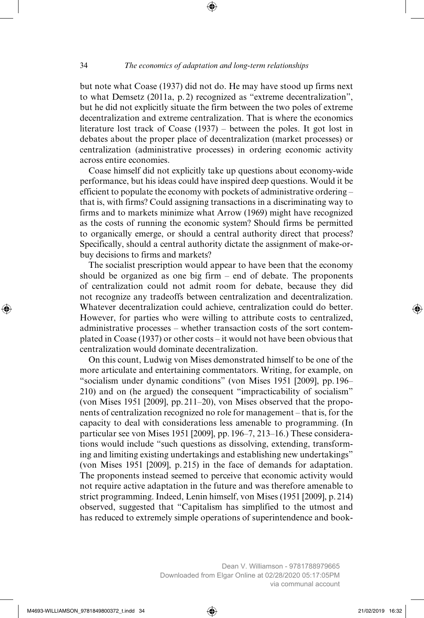but note what Coase (1937) did not do. He may have stood up firms next to what Demsetz (2011a, p. 2) recognized as "extreme decentralization", but he did not explicitly situate the firm between the two poles of extreme decentralization and extreme centralization. That is where the economics literature lost track of Coase (1937) – between the poles. It got lost in debates about the proper place of decentralization (market processes) or centralization (administrative processes) in ordering economic activity across entire economies.

Coase himself did not explicitly take up questions about economy-wide performance, but his ideas could have inspired deep questions. Would it be efficient to populate the economy with pockets of administrative ordering – that is, with firms? Could assigning transactions in a discriminating way to firms and to markets minimize what Arrow (1969) might have recognized as the costs of running the economic system? Should firms be permitted to organically emerge, or should a central authority direct that process? Specifically, should a central authority dictate the assignment of make-orbuy decisions to firms and markets?

The socialist prescription would appear to have been that the economy should be organized as one big firm – end of debate. The proponents of centralization could not admit room for debate, because they did not recognize any tradeoffs between centralization and decentralization. Whatever decentralization could achieve, centralization could do better. However, for parties who were willing to attribute costs to centralized, administrative processes – whether transaction costs of the sort contemplated in Coase (1937) or other costs – it would not have been obvious that centralization would dominate decentralization.

On this count, Ludwig von Mises demonstrated himself to be one of the more articulate and entertaining commentators. Writing, for example, on "socialism under dynamic conditions" (von Mises 1951 [2009], pp. 196– 210) and on (he argued) the consequent "impracticability of socialism" (von Mises 1951 [2009], pp. 211–20), von Mises observed that the proponents of centralization recognized no role for management – that is, for the capacity to deal with considerations less amenable to programming. (In particular see von Mises 1951 [2009], pp. 196–7, 213–16.) These considerations would include "such questions as dissolving, extending, transforming and limiting existing undertakings and establishing new undertakings" (von Mises 1951 [2009], p. 215) in the face of demands for adaptation. The proponents instead seemed to perceive that economic activity would not require active adaptation in the future and was therefore amenable to strict programming. Indeed, Lenin himself, von Mises (1951 [2009], p. 214) observed, suggested that "Capitalism has simplified to the utmost and has reduced to extremely simple operations of superintendence and book-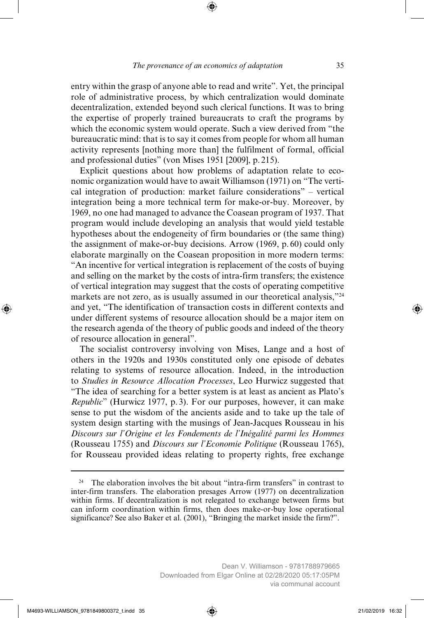entry within the grasp of anyone able to read and write". Yet, the principal role of administrative process, by which centralization would dominate decentralization, extended beyond such clerical functions. It was to bring the expertise of properly trained bureaucrats to craft the programs by which the economic system would operate. Such a view derived from "the bureaucratic mind: that is to say it comes from people for whom all human activity represents [nothing more than] the fulfilment of formal, official and professional duties" (von Mises 1951 [2009], p. 215).

Explicit questions about how problems of adaptation relate to economic organization would have to await Williamson (1971) on "The vertical integration of production: market failure considerations" – vertical integration being a more technical term for make-or-buy. Moreover, by 1969, no one had managed to advance the Coasean program of 1937. That program would include developing an analysis that would yield testable hypotheses about the endogeneity of firm boundaries or (the same thing) the assignment of make-or-buy decisions. Arrow (1969, p. 60) could only elaborate marginally on the Coasean proposition in more modern terms: "An incentive for vertical integration is replacement of the costs of buying and selling on the market by the costs of intra-firm transfers; the existence of vertical integration may suggest that the costs of operating competitive markets are not zero, as is usually assumed in our theoretical analysis,"24 and yet, "The identification of transaction costs in different contexts and under different systems of resource allocation should be a major item on the research agenda of the theory of public goods and indeed of the theory of resource allocation in general".

The socialist controversy involving von Mises, Lange and a host of others in the 1920s and 1930s constituted only one episode of debates relating to systems of resource allocation. Indeed, in the introduction to *Studies in Resource Allocation Processes*, Leo Hurwicz suggested that "The idea of searching for a better system is at least as ancient as Plato's *Republic*" (Hurwicz 1977, p. 3). For our purposes, however, it can make sense to put the wisdom of the ancients aside and to take up the tale of system design starting with the musings of Jean-Jacques Rousseau in his *Discours sur l'Origine et les Fondements de l'Inégalité parmi les Hommes*  (Rousseau 1755) and *Discours sur l'Economie Politique* (Rousseau 1765), for Rousseau provided ideas relating to property rights, free exchange

The elaboration involves the bit about "intra-firm transfers" in contrast to inter-firm transfers. The elaboration presages Arrow (1977) on decentralization within firms. If decentralization is not relegated to exchange between firms but can inform coordination within firms, then does make-or-buy lose operational significance? See also Baker et al. (2001), "Bringing the market inside the firm?".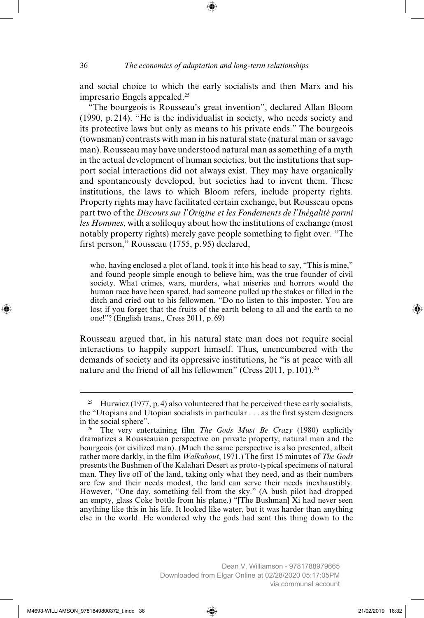and social choice to which the early socialists and then Marx and his impresario Engels appealed.25

"The bourgeois is Rousseau's great invention", declared Allan Bloom (1990, p. 214). "He is the individualist in society, who needs society and its protective laws but only as means to his private ends." The bourgeois (townsman) contrasts with man in his natural state (natural man or savage man). Rousseau may have understood natural man as something of a myth in the actual development of human societies, but the institutions that support social interactions did not always exist. They may have organically and spontaneously developed, but societies had to invent them. These institutions, the laws to which Bloom refers, include property rights. Property rights may have facilitated certain exchange, but Rousseau opens part two of the *Discours sur l'Origine et les Fondements de l'Inégalité parmi les Hommes*, with a soliloquy about how the institutions of exchange (most notably property rights) merely gave people something to fight over. "The first person," Rousseau (1755, p. 95) declared,

who, having enclosed a plot of land, took it into his head to say, "This is mine," and found people simple enough to believe him, was the true founder of civil society. What crimes, wars, murders, what miseries and horrors would the human race have been spared, had someone pulled up the stakes or filled in the ditch and cried out to his fellowmen, "Do no listen to this imposter. You are lost if you forget that the fruits of the earth belong to all and the earth to no one!"? (English trans., Cress 2011, p. 69)

Rousseau argued that, in his natural state man does not require social interactions to happily support himself. Thus, unencumbered with the demands of society and its oppressive institutions, he "is at peace with all nature and the friend of all his fellowmen" (Cress 2011, p. 101).<sup>26</sup>

<sup>&</sup>lt;sup>25</sup> Hurwicz (1977, p. 4) also volunteered that he perceived these early socialists, the "Utopians and Utopian socialists in particular . . . as the first system designers in the social sphere".

<sup>26</sup> The very entertaining film *The Gods Must Be Crazy* (1980) explicitly dramatizes a Rousseauian perspective on private property, natural man and the bourgeois (or civilized man). (Much the same perspective is also presented, albeit rather more darkly, in the film *Walkabout*, 1971.) The first 15 minutes of *The Gods* presents the Bushmen of the Kalahari Desert as proto-typical specimens of natural man. They live off of the land, taking only what they need, and as their numbers are few and their needs modest, the land can serve their needs inexhaustibly. However, "One day, something fell from the sky." (A bush pilot had dropped an empty, glass Coke bottle from his plane.) "[The Bushman] Xi had never seen anything like this in his life. It looked like water, but it was harder than anything else in the world. He wondered why the gods had sent this thing down to the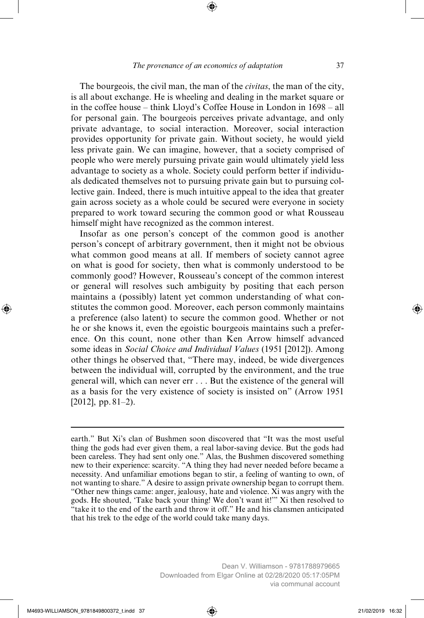The bourgeois, the civil man, the man of the *civitas*, the man of the city, is all about exchange. He is wheeling and dealing in the market square or in the coffee house – think Lloyd's Coffee House in London in 1698 – all for personal gain. The bourgeois perceives private advantage, and only private advantage, to social interaction. Moreover, social interaction provides opportunity for private gain. Without society, he would yield less private gain. We can imagine, however, that a society comprised of people who were merely pursuing private gain would ultimately yield less advantage to society as a whole. Society could perform better if individuals dedicated themselves not to pursuing private gain but to pursuing collective gain. Indeed, there is much intuitive appeal to the idea that greater gain across society as a whole could be secured were everyone in society prepared to work toward securing the common good or what Rousseau himself might have recognized as the common interest.

Insofar as one person's concept of the common good is another person's concept of arbitrary government, then it might not be obvious what common good means at all. If members of society cannot agree on what is good for society, then what is commonly understood to be commonly good? However, Rousseau's concept of the common interest or general will resolves such ambiguity by positing that each person maintains a (possibly) latent yet common understanding of what constitutes the common good. Moreover, each person commonly maintains a preference (also latent) to secure the common good. Whether or not he or she knows it, even the egoistic bourgeois maintains such a preference. On this count, none other than Ken Arrow himself advanced some ideas in *Social Choice and Individual Values* (1951 [2012]). Among other things he observed that, "There may, indeed, be wide divergences between the individual will, corrupted by the environment, and the true general will, which can never err . . . But the existence of the general will as a basis for the very existence of society is insisted on" (Arrow 1951  $[2012]$ , pp.  $81-2$ ).

earth." But Xi's clan of Bushmen soon discovered that "It was the most useful thing the gods had ever given them, a real labor-saving device. But the gods had been careless. They had sent only one." Alas, the Bushmen discovered something new to their experience: scarcity. "A thing they had never needed before became a necessity. And unfamiliar emotions began to stir, a feeling of wanting to own, of not wanting to share." A desire to assign private ownership began to corrupt them. "Other new things came: anger, jealousy, hate and violence. Xi was angry with the gods. He shouted, 'Take back your thing! We don't want it!'" Xi then resolved to "take it to the end of the earth and throw it off." He and his clansmen anticipated that his trek to the edge of the world could take many days.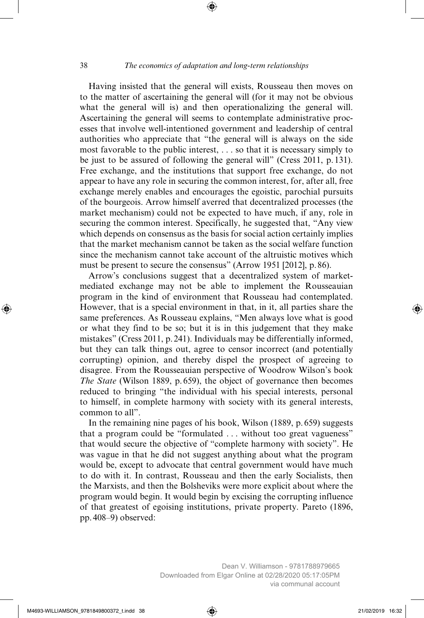Having insisted that the general will exists, Rousseau then moves on to the matter of ascertaining the general will (for it may not be obvious what the general will is) and then operationalizing the general will. Ascertaining the general will seems to contemplate administrative processes that involve well-intentioned government and leadership of central authorities who appreciate that "the general will is always on the side most favorable to the public interest, . . . so that it is necessary simply to be just to be assured of following the general will" (Cress 2011, p. 131). Free exchange, and the institutions that support free exchange, do not appear to have any role in securing the common interest, for, after all, free exchange merely enables and encourages the egoistic, parochial pursuits of the bourgeois. Arrow himself averred that decentralized processes (the market mechanism) could not be expected to have much, if any, role in securing the common interest. Specifically, he suggested that, "Any view which depends on consensus as the basis for social action certainly implies that the market mechanism cannot be taken as the social welfare function since the mechanism cannot take account of the altruistic motives which must be present to secure the consensus" (Arrow 1951 [2012], p. 86).

Arrow's conclusions suggest that a decentralized system of marketmediated exchange may not be able to implement the Rousseauian program in the kind of environment that Rousseau had contemplated. However, that is a special environment in that, in it, all parties share the same preferences. As Rousseau explains, "Men always love what is good or what they find to be so; but it is in this judgement that they make mistakes" (Cress 2011, p. 241). Individuals may be differentially informed, but they can talk things out, agree to censor incorrect (and potentially corrupting) opinion, and thereby dispel the prospect of agreeing to disagree. From the Rousseauian perspective of Woodrow Wilson's book *The State* (Wilson 1889, p. 659), the object of governance then becomes reduced to bringing "the individual with his special interests, personal to himself, in complete harmony with society with its general interests, common to all".

In the remaining nine pages of his book, Wilson (1889, p. 659) suggests that a program could be "formulated . . . without too great vagueness" that would secure the objective of "complete harmony with society". He was vague in that he did not suggest anything about what the program would be, except to advocate that central government would have much to do with it. In contrast, Rousseau and then the early Socialists, then the Marxists, and then the Bolsheviks were more explicit about where the program would begin. It would begin by excising the corrupting influence of that greatest of egoising institutions, private property. Pareto (1896, pp. 408–9) observed: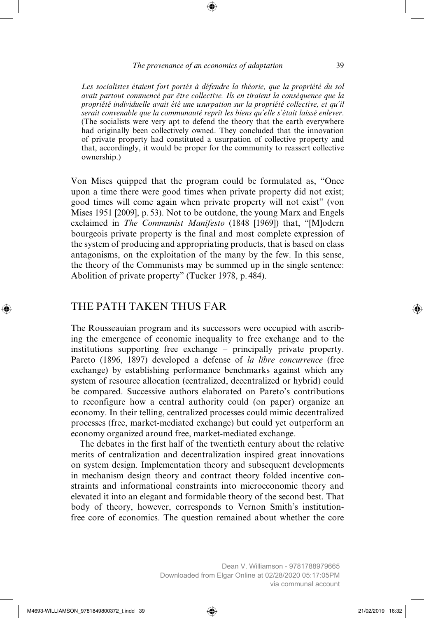*Les socialistes étaient fort portés à défendre la théorie, que la propriété du sol avait partout commencé par être collective. Ils en tiraient la conséquence que la propriété individuelle avait été une usurpation sur la propriété collective, et qu'il serait convenable que la communauté reprît les biens qu'elle s'était laissé enlever*. (The socialists were very apt to defend the theory that the earth everywhere had originally been collectively owned. They concluded that the innovation of private property had constituted a usurpation of collective property and that, accordingly, it would be proper for the community to reassert collective ownership.)

Von Mises quipped that the program could be formulated as, "Once upon a time there were good times when private property did not exist; good times will come again when private property will not exist" (von Mises 1951 [2009], p. 53). Not to be outdone, the young Marx and Engels exclaimed in *The Communist Manifesto* (1848 [1969]) that, "[M]odern bourgeois private property is the final and most complete expression of the system of producing and appropriating products, that is based on class antagonisms, on the exploitation of the many by the few. In this sense, the theory of the Communists may be summed up in the single sentence: Abolition of private property" (Tucker 1978, p. 484).

### THE PATH TAKEN THUS FAR

The Rousseauian program and its successors were occupied with ascribing the emergence of economic inequality to free exchange and to the institutions supporting free exchange – principally private property. Pareto (1896, 1897) developed a defense of *la libre concurrence* (free exchange) by establishing performance benchmarks against which any system of resource allocation (centralized, decentralized or hybrid) could be compared. Successive authors elaborated on Pareto's contributions to reconfigure how a central authority could (on paper) organize an economy. In their telling, centralized processes could mimic decentralized processes (free, market-mediated exchange) but could yet outperform an economy organized around free, market-mediated exchange.

The debates in the first half of the twentieth century about the relative merits of centralization and decentralization inspired great innovations on system design. Implementation theory and subsequent developments in mechanism design theory and contract theory folded incentive constraints and informational constraints into microeconomic theory and elevated it into an elegant and formidable theory of the second best. That body of theory, however, corresponds to Vernon Smith's institutionfree core of economics. The question remained about whether the core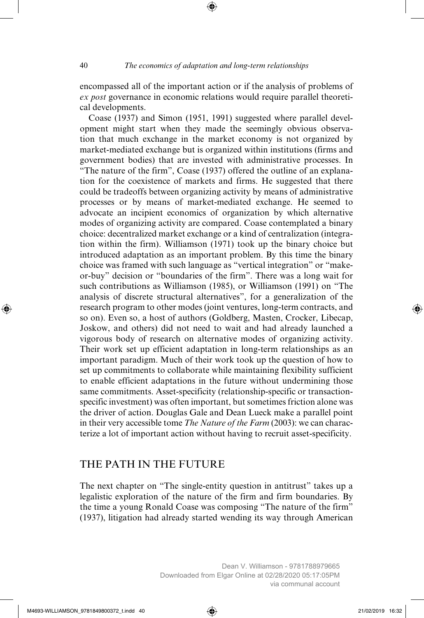encompassed all of the important action or if the analysis of problems of *ex post* governance in economic relations would require parallel theoretical developments.

Coase (1937) and Simon (1951, 1991) suggested where parallel development might start when they made the seemingly obvious observation that much exchange in the market economy is not organized by market- mediated exchange but is organized within institutions (firms and government bodies) that are invested with administrative processes. In "The nature of the firm", Coase (1937) offered the outline of an explanation for the coexistence of markets and firms. He suggested that there could be tradeoffs between organizing activity by means of administrative processes or by means of market-mediated exchange. He seemed to advocate an incipient economics of organization by which alternative modes of organizing activity are compared. Coase contemplated a binary choice: decentralized market exchange or a kind of centralization (integration within the firm). Williamson (1971) took up the binary choice but introduced adaptation as an important problem. By this time the binary choice was framed with such language as "vertical integration" or "makeor-buy" decision or "boundaries of the firm". There was a long wait for such contributions as Williamson (1985), or Williamson (1991) on "The analysis of discrete structural alternatives", for a generalization of the research program to other modes (joint ventures, long-term contracts, and so on). Even so, a host of authors (Goldberg, Masten, Crocker, Libecap, Joskow, and others) did not need to wait and had already launched a vigorous body of research on alternative modes of organizing activity. Their work set up efficient adaptation in long-term relationships as an important paradigm. Much of their work took up the question of how to set up commitments to collaborate while maintaining flexibility sufficient to enable efficient adaptations in the future without undermining those same commitments. Asset-specificity (relationship-specific or transactionspecific investment) was often important, but sometimes friction alone was the driver of action. Douglas Gale and Dean Lueck make a parallel point in their very accessible tome *The Nature of the Farm* (2003): we can characterize a lot of important action without having to recruit asset-specificity.

## THE PATH IN THE FUTURE

The next chapter on "The single-entity question in antitrust" takes up a legalistic exploration of the nature of the firm and firm boundaries. By the time a young Ronald Coase was composing "The nature of the firm" (1937), litigation had already started wending its way through American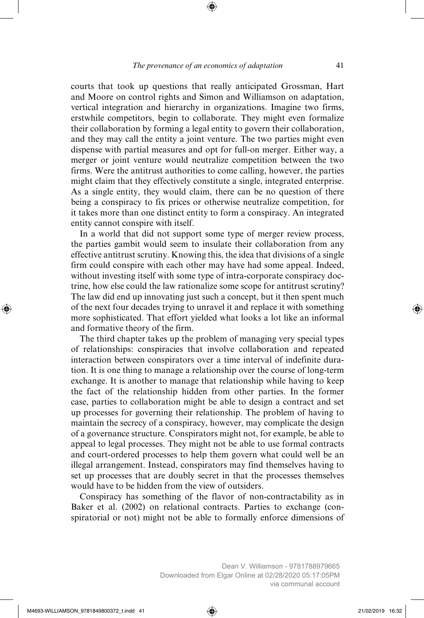courts that took up questions that really anticipated Grossman, Hart and Moore on control rights and Simon and Williamson on adaptation, vertical integration and hierarchy in organizations. Imagine two firms, erstwhile competitors, begin to collaborate. They might even formalize their collaboration by forming a legal entity to govern their collaboration, and they may call the entity a joint venture. The two parties might even dispense with partial measures and opt for full-on merger. Either way, a merger or joint venture would neutralize competition between the two firms. Were the antitrust authorities to come calling, however, the parties might claim that they effectively constitute a single, integrated enterprise. As a single entity, they would claim, there can be no question of there being a conspiracy to fix prices or otherwise neutralize competition, for it takes more than one distinct entity to form a conspiracy. An integrated entity cannot conspire with itself.

In a world that did not support some type of merger review process, the parties gambit would seem to insulate their collaboration from any effective antitrust scrutiny. Knowing this, the idea that divisions of a single firm could conspire with each other may have had some appeal. Indeed, without investing itself with some type of intra-corporate conspiracy doctrine, how else could the law rationalize some scope for antitrust scrutiny? The law did end up innovating just such a concept, but it then spent much of the next four decades trying to unravel it and replace it with something more sophisticated. That effort yielded what looks a lot like an informal and formative theory of the firm.

The third chapter takes up the problem of managing very special types of relationships: conspiracies that involve collaboration and repeated interaction between conspirators over a time interval of indefinite duration. It is one thing to manage a relationship over the course of long-term exchange. It is another to manage that relationship while having to keep the fact of the relationship hidden from other parties. In the former case, parties to collaboration might be able to design a contract and set up processes for governing their relationship. The problem of having to maintain the secrecy of a conspiracy, however, may complicate the design of a governance structure. Conspirators might not, for example, be able to appeal to legal processes. They might not be able to use formal contracts and court-ordered processes to help them govern what could well be an illegal arrangement. Instead, conspirators may find themselves having to set up processes that are doubly secret in that the processes themselves would have to be hidden from the view of outsiders.

Conspiracy has something of the flavor of non-contractability as in Baker et al. (2002) on relational contracts. Parties to exchange (conspiratorial or not) might not be able to formally enforce dimensions of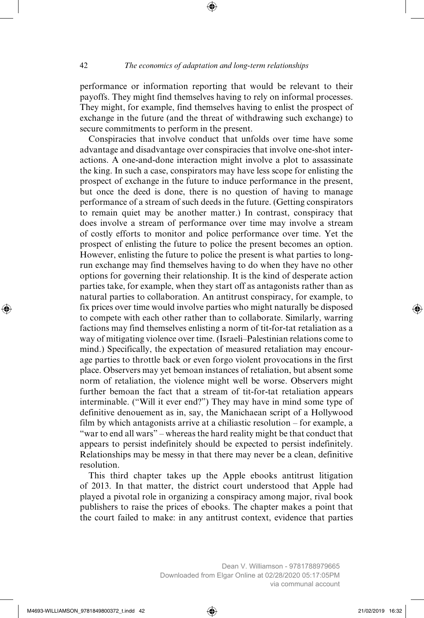performance or information reporting that would be relevant to their payoffs. They might find themselves having to rely on informal processes. They might, for example, find themselves having to enlist the prospect of exchange in the future (and the threat of withdrawing such exchange) to secure commitments to perform in the present.

Conspiracies that involve conduct that unfolds over time have some advantage and disadvantage over conspiracies that involve one-shot interactions. A one-and-done interaction might involve a plot to assassinate the king. In such a case, conspirators may have less scope for enlisting the prospect of exchange in the future to induce performance in the present, but once the deed is done, there is no question of having to manage performance of a stream of such deeds in the future. (Getting conspirators to remain quiet may be another matter.) In contrast, conspiracy that does involve a stream of performance over time may involve a stream of costly efforts to monitor and police performance over time. Yet the prospect of enlisting the future to police the present becomes an option. However, enlisting the future to police the present is what parties to longrun exchange may find themselves having to do when they have no other options for governing their relationship. It is the kind of desperate action parties take, for example, when they start off as antagonists rather than as natural parties to collaboration. An antitrust conspiracy, for example, to fix prices over time would involve parties who might naturally be disposed to compete with each other rather than to collaborate. Similarly, warring factions may find themselves enlisting a norm of tit-for-tat retaliation as a way of mitigating violence over time. (Israeli–Palestinian relations come to mind.) Specifically, the expectation of measured retaliation may encourage parties to throttle back or even forgo violent provocations in the first place. Observers may yet bemoan instances of retaliation, but absent some norm of retaliation, the violence might well be worse. Observers might further bemoan the fact that a stream of tit-for-tat retaliation appears interminable. ("Will it ever end?") They may have in mind some type of definitive denouement as in, say, the Manichaean script of a Hollywood film by which antagonists arrive at a chiliastic resolution – for example, a "war to end all wars" – whereas the hard reality might be that conduct that appears to persist indefinitely should be expected to persist indefinitely. Relationships may be messy in that there may never be a clean, definitive resolution.

This third chapter takes up the Apple ebooks antitrust litigation of 2013. In that matter, the district court understood that Apple had played a pivotal role in organizing a conspiracy among major, rival book publishers to raise the prices of ebooks. The chapter makes a point that the court failed to make: in any antitrust context, evidence that parties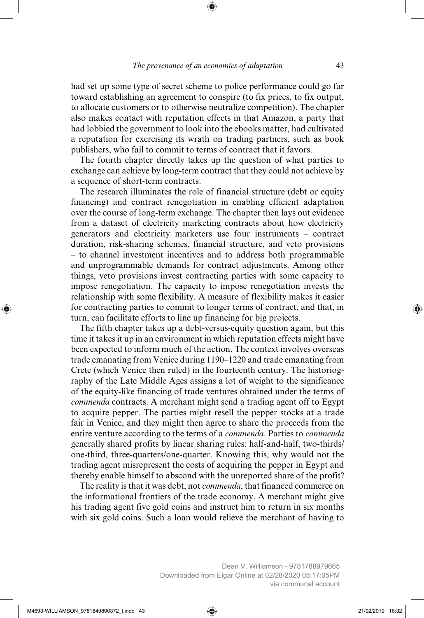had set up some type of secret scheme to police performance could go far toward establishing an agreement to conspire (to fix prices, to fix output, to allocate customers or to otherwise neutralize competition). The chapter also makes contact with reputation effects in that Amazon, a party that had lobbied the government to look into the ebooks matter, had cultivated a reputation for exercising its wrath on trading partners, such as book publishers, who fail to commit to terms of contract that it favors.

The fourth chapter directly takes up the question of what parties to exchange can achieve by long-term contract that they could not achieve by a sequence of short-term contracts.

The research illuminates the role of financial structure (debt or equity financing) and contract renegotiation in enabling efficient adaptation over the course of long-term exchange. The chapter then lays out evidence from a dataset of electricity marketing contracts about how electricity generators and electricity marketers use four instruments – contract duration, risk-sharing schemes, financial structure, and veto provisions – to channel investment incentives and to address both programmable and unprogrammable demands for contract adjustments. Among other things, veto provisions invest contracting parties with some capacity to impose renegotiation. The capacity to impose renegotiation invests the relationship with some flexibility. A measure of flexibility makes it easier for contracting parties to commit to longer terms of contract, and that, in turn, can facilitate efforts to line up financing for big projects.

The fifth chapter takes up a debt-versus-equity question again, but this time it takes it up in an environment in which reputation effects might have been expected to inform much of the action. The context involves overseas trade emanating from Venice during 1190–1220 and trade emanating from Crete (which Venice then ruled) in the fourteenth century. The historiography of the Late Middle Ages assigns a lot of weight to the significance of the equity-like financing of trade ventures obtained under the terms of *commenda* contracts. A merchant might send a trading agent off to Egypt to acquire pepper. The parties might resell the pepper stocks at a trade fair in Venice, and they might then agree to share the proceeds from the entire venture according to the terms of a *commenda*. Parties to *commenda* generally shared profits by linear sharing rules: half-and-half, two-thirds/ one-third, three-quarters/one-quarter. Knowing this, why would not the trading agent misrepresent the costs of acquiring the pepper in Egypt and thereby enable himself to abscond with the unreported share of the profit?

The reality is that it was debt, not *commenda*, that financed commerce on the informational frontiers of the trade economy. A merchant might give his trading agent five gold coins and instruct him to return in six months with six gold coins. Such a loan would relieve the merchant of having to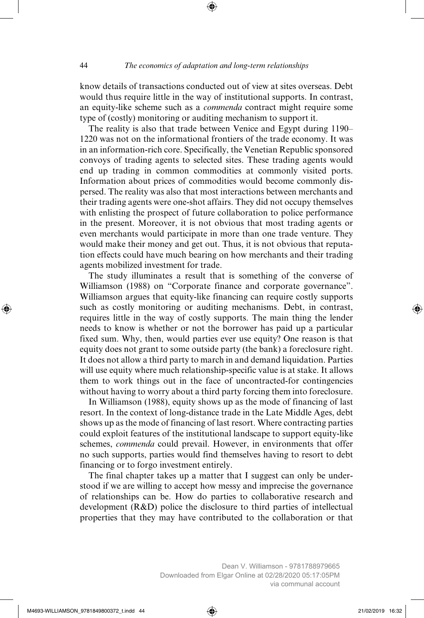know details of transactions conducted out of view at sites overseas. Debt would thus require little in the way of institutional supports. In contrast, an equity-like scheme such as a *commenda* contract might require some type of (costly) monitoring or auditing mechanism to support it.

The reality is also that trade between Venice and Egypt during 1190– 1220 was not on the informational frontiers of the trade economy. It was in an information-rich core. Specifically, the Venetian Republic sponsored convoys of trading agents to selected sites. These trading agents would end up trading in common commodities at commonly visited ports. Information about prices of commodities would become commonly dispersed. The reality was also that most interactions between merchants and their trading agents were one-shot affairs. They did not occupy themselves with enlisting the prospect of future collaboration to police performance in the present. Moreover, it is not obvious that most trading agents or even merchants would participate in more than one trade venture. They would make their money and get out. Thus, it is not obvious that reputation effects could have much bearing on how merchants and their trading agents mobilized investment for trade.

The study illuminates a result that is something of the converse of Williamson (1988) on "Corporate finance and corporate governance". Williamson argues that equity-like financing can require costly supports such as costly monitoring or auditing mechanisms. Debt, in contrast, requires little in the way of costly supports. The main thing the lender needs to know is whether or not the borrower has paid up a particular fixed sum. Why, then, would parties ever use equity? One reason is that equity does not grant to some outside party (the bank) a foreclosure right. It does not allow a third party to march in and demand liquidation. Parties will use equity where much relationship-specific value is at stake. It allows them to work things out in the face of uncontracted-for contingencies without having to worry about a third party forcing them into foreclosure.

In Williamson (1988), equity shows up as the mode of financing of last resort. In the context of long-distance trade in the Late Middle Ages, debt shows up as the mode of financing of last resort. Where contracting parties could exploit features of the institutional landscape to support equity-like schemes, *commenda* could prevail. However, in environments that offer no such supports, parties would find themselves having to resort to debt financing or to forgo investment entirely.

The final chapter takes up a matter that I suggest can only be understood if we are willing to accept how messy and imprecise the governance of relationships can be. How do parties to collaborative research and development (R&D) police the disclosure to third parties of intellectual properties that they may have contributed to the collaboration or that